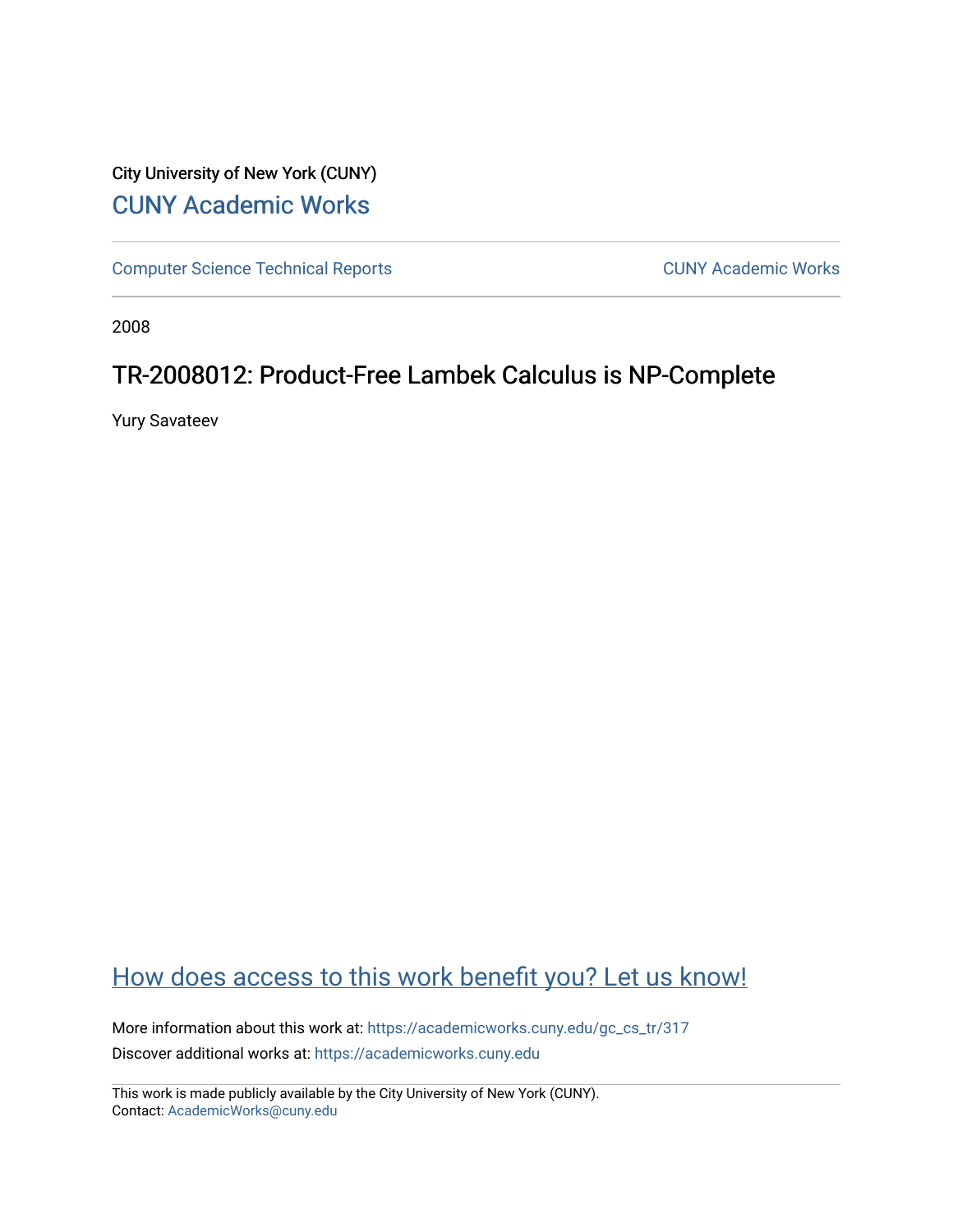# City University of New York (CUNY) [CUNY Academic Works](https://academicworks.cuny.edu/)

[Computer Science Technical Reports](https://academicworks.cuny.edu/gc_cs_tr) **CUNY Academic Works** CUNY Academic Works

2008

## TR-2008012: Product-Free Lambek Calculus is NP-Complete

Yury Savateev

# [How does access to this work benefit you? Let us know!](http://ols.cuny.edu/academicworks/?ref=https://academicworks.cuny.edu/gc_cs_tr/317)

More information about this work at: [https://academicworks.cuny.edu/gc\\_cs\\_tr/317](https://academicworks.cuny.edu/gc_cs_tr/317)  Discover additional works at: [https://academicworks.cuny.edu](https://academicworks.cuny.edu/?)

This work is made publicly available by the City University of New York (CUNY). Contact: [AcademicWorks@cuny.edu](mailto:AcademicWorks@cuny.edu)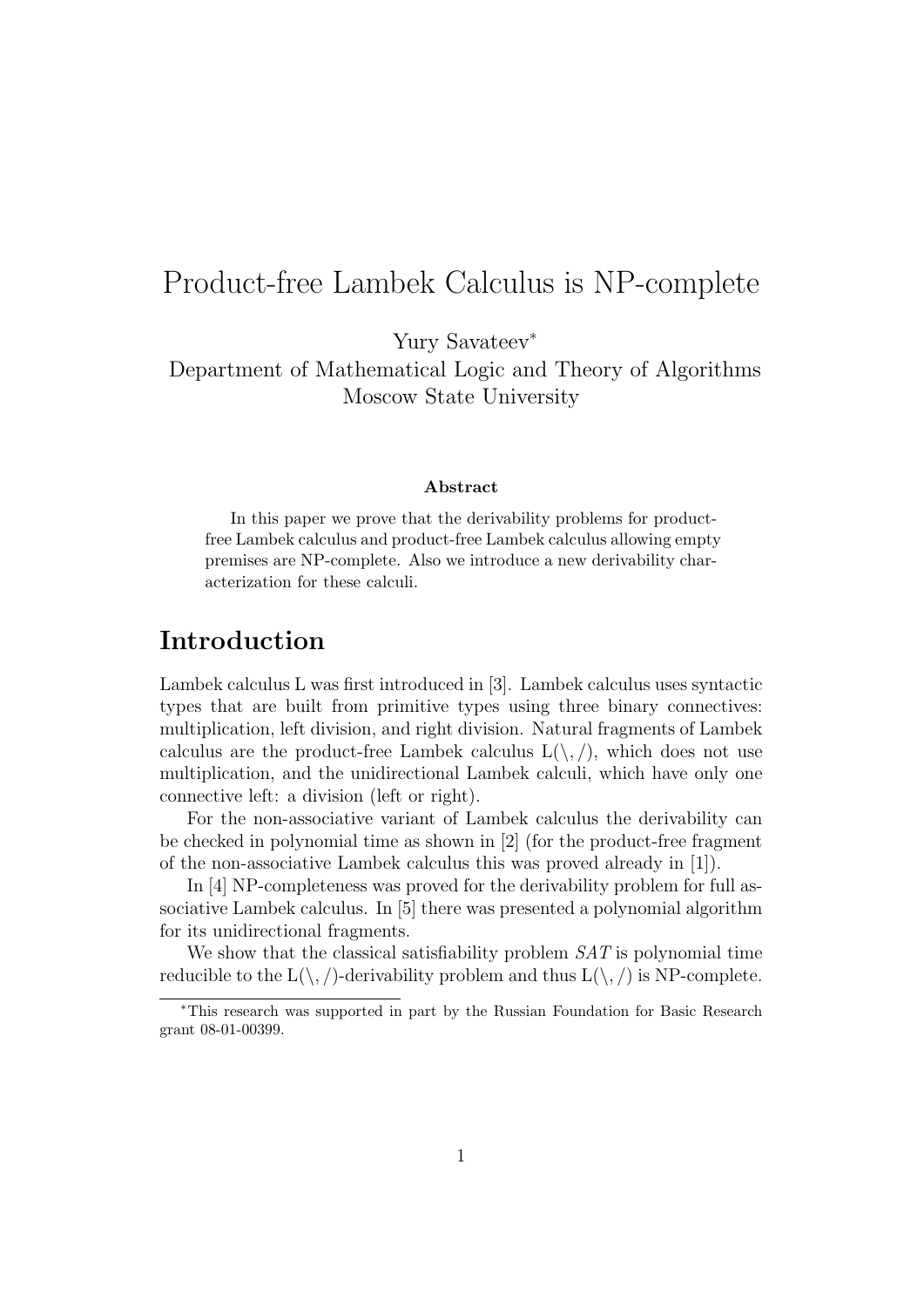# Product-free Lambek Calculus is NP-complete

Yury Savateev<sup>∗</sup>

Department of Mathematical Logic and Theory of Algorithms Moscow State University

#### Abstract

In this paper we prove that the derivability problems for productfree Lambek calculus and product-free Lambek calculus allowing empty premises are NP-complete. Also we introduce a new derivability characterization for these calculi.

## Introduction

Lambek calculus L was first introduced in [3]. Lambek calculus uses syntactic types that are built from primitive types using three binary connectives: multiplication, left division, and right division. Natural fragments of Lambek calculus are the product-free Lambek calculus  $L(\cdot, \cdot)$ , which does not use multiplication, and the unidirectional Lambek calculi, which have only one connective left: a division (left or right).

For the non-associative variant of Lambek calculus the derivability can be checked in polynomial time as shown in [2] (for the product-free fragment of the non-associative Lambek calculus this was proved already in [1]).

In [4] NP-completeness was proved for the derivability problem for full associative Lambek calculus. In [5] there was presented a polynomial algorithm for its unidirectional fragments.

We show that the classical satisfiability problem *SAT* is polynomial time reducible to the  $L(\setminus, \Lambda)$ -derivability problem and thus  $L(\setminus, \Lambda)$  is NP-complete.

<sup>∗</sup>This research was supported in part by the Russian Foundation for Basic Research grant 08-01-00399.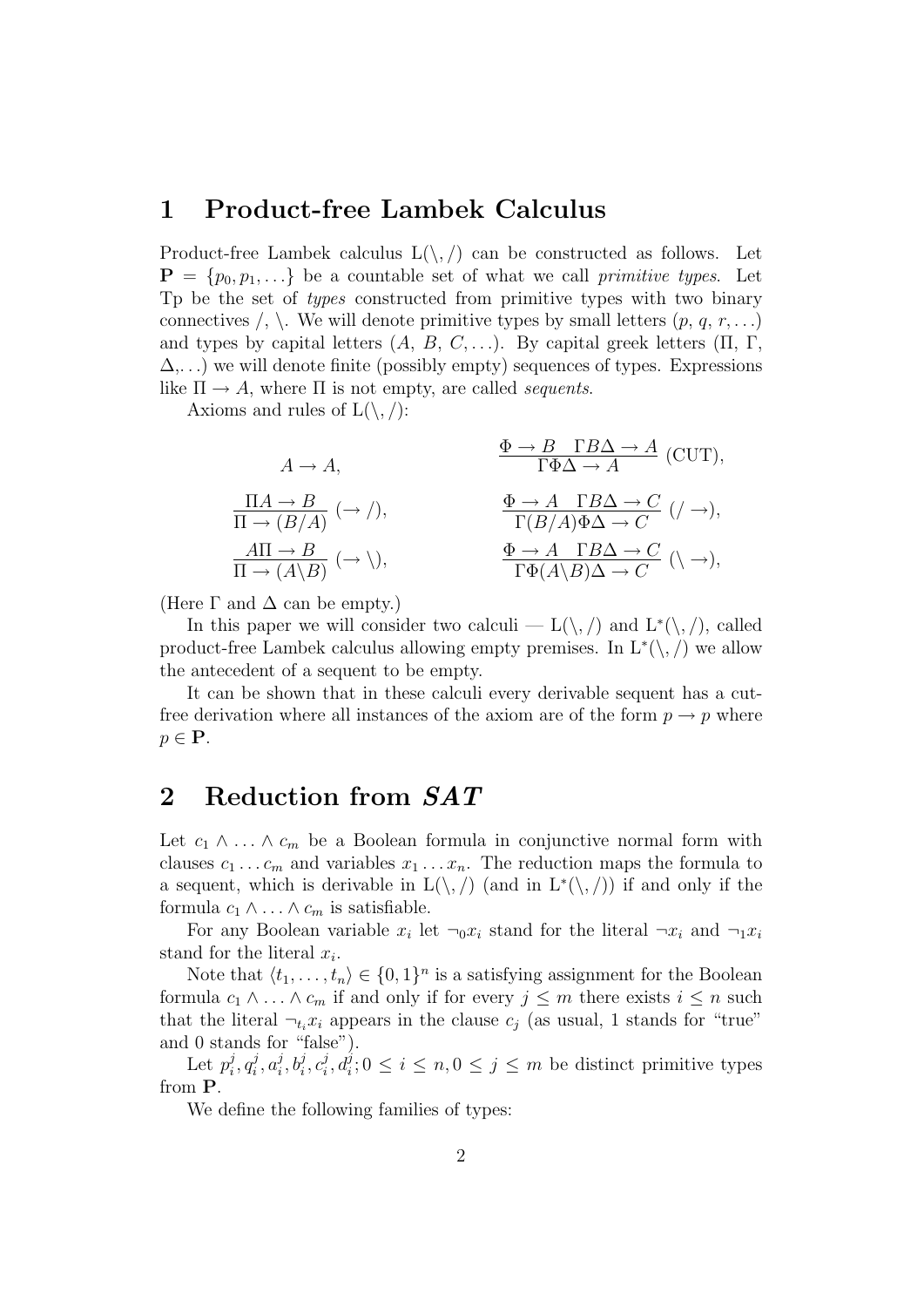#### 1 Product-free Lambek Calculus

Product-free Lambek calculus  $L(\cdot, \cdot)$  can be constructed as follows. Let  $P = \{p_0, p_1, \ldots\}$  be a countable set of what we call *primitive types*. Let Tp be the set of *types* constructed from primitive types with two binary connectives  $\langle \cdot, \cdot \rangle$ . We will denote primitive types by small letters  $(p, q, r, \ldots)$ and types by capital letters  $(A, B, C, \ldots)$ . By capital greek letters  $(\Pi, \Gamma, \Pi)$  $\Delta$ ,...) we will denote finite (possibly empty) sequences of types. Expressions like  $\Pi \to A$ , where  $\Pi$  is not empty, are called *sequents*.

Axioms and rules of  $L(\backslash, /)$ :

$$
A \to A, \qquad \frac{\Phi \to B \quad \Gamma B \Delta \to A}{\Gamma \Phi \Delta \to A} \text{ (CUT)},
$$
  

$$
\frac{\Pi A \to B}{\Pi \to (B/A)} \text{ } (\to /), \qquad \frac{\Phi \to A \quad \Gamma B \Delta \to C}{\Gamma(B/A) \Phi \Delta \to C} \text{ } (\to ),
$$
  

$$
\frac{A\Pi \to B}{\Pi \to (A \setminus B)} \text{ } (\to \setminus), \qquad \frac{\Phi \to A \quad \Gamma B \Delta \to C}{\Gamma \Phi(A \setminus B) \Delta \to C} \text{ } (\setminus \to),
$$

(Here  $\Gamma$  and  $\Delta$  can be empty.)

In this paper we will consider two calculi —  $L(\setminus, \setminus)$  and  $L^*(\setminus, \setminus)$ , called product-free Lambek calculus allowing empty premises. In  $L^*(\setminus, \cdot)$  we allow the antecedent of a sequent to be empty.

It can be shown that in these calculi every derivable sequent has a cutfree derivation where all instances of the axiom are of the form  $p \to p$  where  $p \in \mathbf{P}$ .

#### 2 Reduction from *SAT*

Let  $c_1 \wedge \ldots \wedge c_m$  be a Boolean formula in conjunctive normal form with clauses  $c_1 \ldots c_m$  and variables  $x_1 \ldots x_n$ . The reduction maps the formula to a sequent, which is derivable in  $L(\langle, \rangle)$  (and in  $L^*(\langle, \rangle)$ ) if and only if the formula  $c_1 \wedge \ldots \wedge c_m$  is satisfiable.

For any Boolean variable  $x_i$  let  $\neg$ <sub>0</sub> $x_i$  stand for the literal  $\neg$ <sub>xi</sub> and  $\neg$ <sub>1</sub> $x_i$ stand for the literal  $x_i$ .

Note that  $\langle t_1, \ldots, t_n \rangle \in \{0,1\}^n$  is a satisfying assignment for the Boolean formula  $c_1 \wedge \ldots \wedge c_m$  if and only if for every  $j \leq m$  there exists  $i \leq n$  such that the literal  $\neg_t x_i$  appears in the clause  $c_i$  (as usual, 1 stands for "true" and 0 stands for "false").

Let  $p_i^j, q_i^j, a_i^j, b_i^j, c_i^j, d_i^j; 0 \leq i \leq n, 0 \leq j \leq m$  be distinct primitive types from P.

We define the following families of types: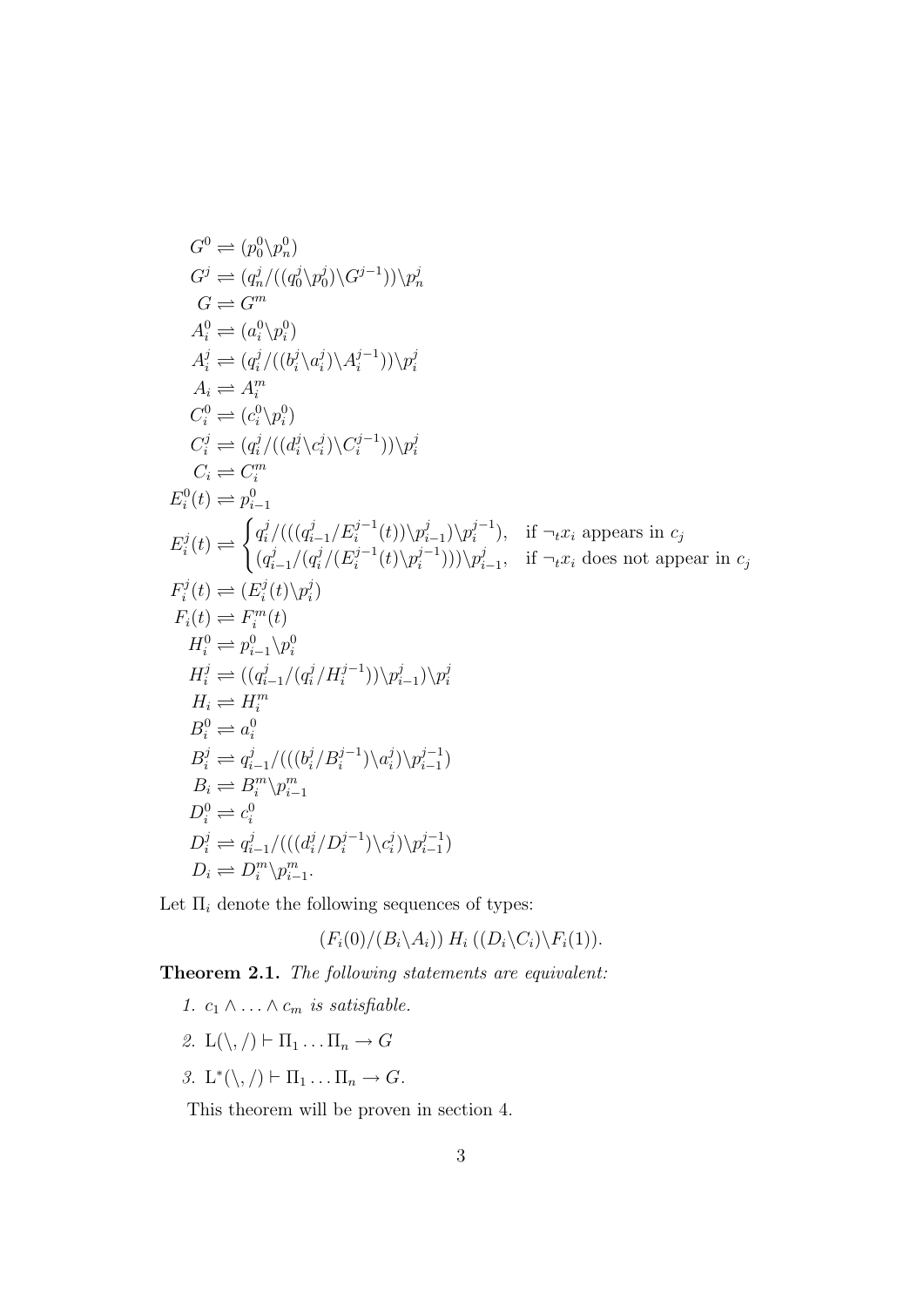$$
G^{0} \rightleftharpoons (p_{0}^{0}\backslash p_{n}^{0})
$$
  
\n
$$
G^{j} \rightleftharpoons (q_{n}^{j}/((q_{0}^{j}\backslash p_{0}^{j})\backslash G^{j-1}))/p_{n}^{j}
$$
  
\n
$$
G \rightleftharpoons G^{m}
$$
  
\n
$$
A_{i}^{0} \rightleftharpoons (q_{i}^{j}/((b_{i}^{j}\backslash a_{i}^{j})\backslash A_{i}^{j-1}))/p_{i}^{j}
$$
  
\n
$$
A_{i} \rightleftharpoons A_{i}^{m}
$$
  
\n
$$
C_{i}^{0} \rightleftharpoons (e_{i}^{0}\backslash p_{i}^{0})
$$
  
\n
$$
C_{i}^{j} \rightleftharpoons (q_{i}^{j}/((d_{i}^{j}\backslash c_{i}^{j})\backslash C_{i}^{j-1}))/p_{i}^{j}
$$
  
\n
$$
C_{i} \rightleftharpoons C_{i}^{m}
$$
  
\n
$$
E_{i}^{0}(t) \rightleftharpoons p_{i-1}^{0}
$$
  
\n
$$
E_{i}^{j}(t) \rightleftharpoons \begin{cases} q_{i}^{j}/((q_{i-1}^{j}/E_{i}^{j-1}(t))\backslash p_{i-1}^{j})\backslash p_{i}^{j-1}, & \text{if } \neg_{t}x_{i} \text{ appears in } c_{j} \\ (q_{i-1}^{j}/(q_{i}^{j}/(E_{i}^{j-1}(t)\backslash p_{i}^{j-1})))\backslash p_{i-1}^{j}, & \text{if } \neg_{t}x_{i} \text{ does not appear in } c_{j} \end{cases}
$$
  
\n
$$
F_{i}^{j}(t) \rightleftharpoons (E_{i}^{j}(t)\backslash p_{i}^{j})
$$
  
\n
$$
F_{i}^{j}(t) \rightleftharpoons (E_{i}^{j}(t)\backslash p_{i}^{j})
$$
  
\n
$$
F_{i}^{0} \rightleftharpoons p_{i-1}^{0}\backslash p_{i}^{0}
$$
  
\n
$$
H_{i}^{0} \rightleftharpoons p_{i-1}^{0}\backslash p_{i}^{0}
$$
  
\

Let  $\Pi_i$  denote the following sequences of types:

 $(F_i(0)/(B_i\backslash A_i))$   $H_i((D_i\backslash C_i)\backslash F_i(1)).$ 

Theorem 2.1. *The following statements are equivalent:*

- *1.*  $c_1 \wedge \ldots \wedge c_m$  *is satisfiable.*
- 2.  $L(\setminus, / \rvert \vdash \Pi_1 \ldots \Pi_n \to G$
- *3.* L<sup>\*</sup>(\, /)  $\vdash \Pi_1 \ldots \Pi_n \to G$ .

This theorem will be proven in section 4.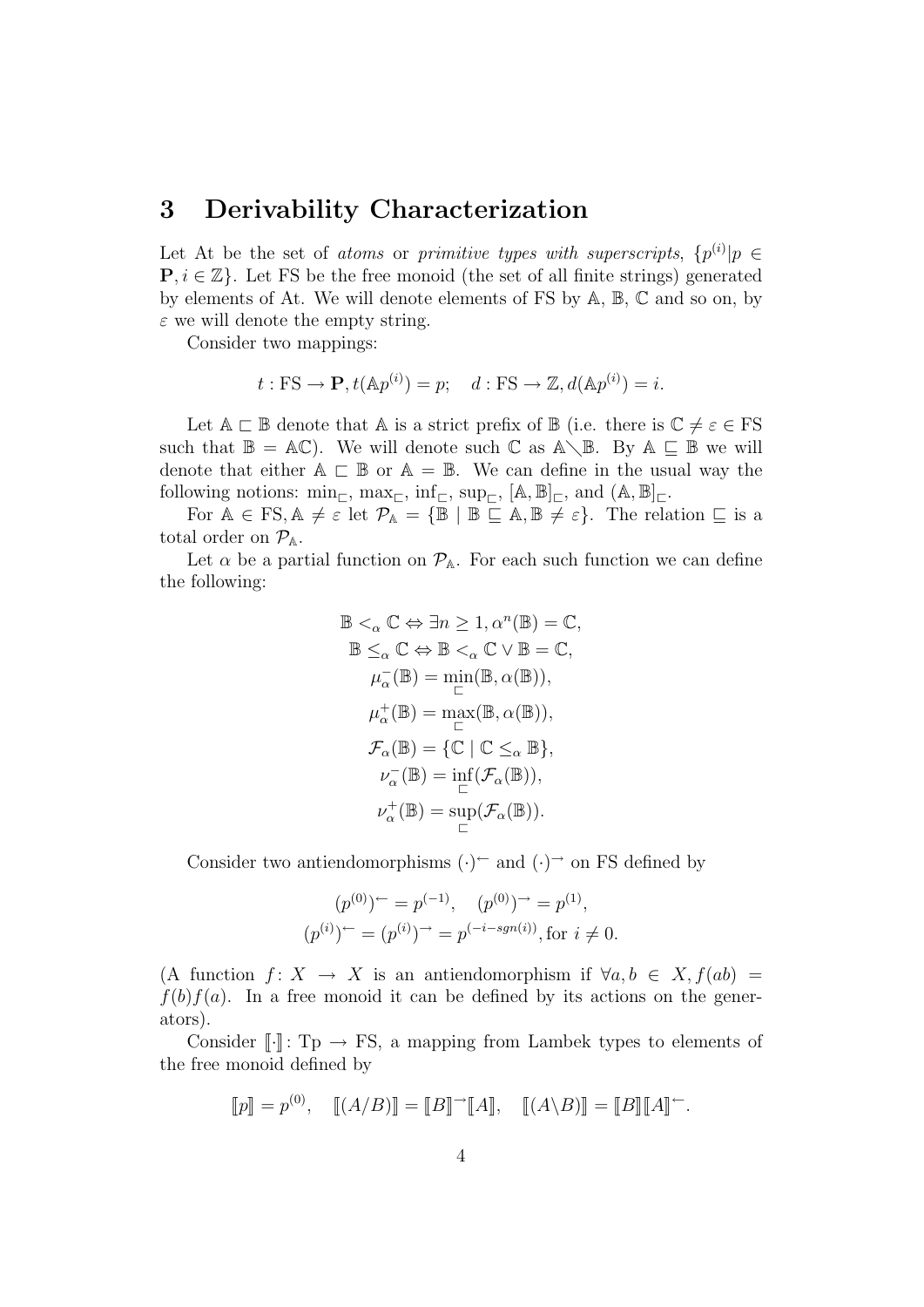#### 3 Derivability Characterization

Let At be the set of *atoms* or *primitive types with superscripts*,  $\{p^{(i)}|p \in \mathbb{R}\}$  $\mathbf{P}, i \in \mathbb{Z}$ . Let FS be the free monoid (the set of all finite strings) generated by elements of At. We will denote elements of FS by A, B, C and so on, by  $\varepsilon$  we will denote the empty string.

Consider two mappings:

$$
t: FS \to \mathbf{P}, t(\mathbb{A}p^{(i)}) = p; \quad d: FS \to \mathbb{Z}, d(\mathbb{A}p^{(i)}) = i.
$$

Let  $A \subset \mathbb{B}$  denote that A is a strict prefix of  $\mathbb{B}$  (i.e. there is  $\mathbb{C} \neq \varepsilon \in FS$ such that  $\mathbb{B} = \mathbb{AC}$ . We will denote such  $\mathbb{C}$  as  $\mathbb{A}\setminus\mathbb{B}$ . By  $\mathbb{A} \subseteq \mathbb{B}$  we will denote that either  $A \sqsubset \mathbb{B}$  or  $A = \mathbb{B}$ . We can define in the usual way the following notions:  $\min_{\square}$ ,  $\max_{\square}$ ,  $\inf_{\square}$ ,  $\sup_{\square}$ ,  $[A, \mathbb{B}]_{\square}$ , and  $(A, \mathbb{B}]_{\square}$ .

For  $A \in FS, A \neq \varepsilon$  let  $\mathcal{P}_A = \{\mathbb{B} \mid \mathbb{B} \subseteq A, \mathbb{B} \neq \varepsilon\}.$  The relation  $\subseteq$  is a total order on  $\mathcal{P}_{A}$ .

Let  $\alpha$  be a partial function on  $\mathcal{P}_{A}$ . For each such function we can define the following:

$$
\mathbb{B} <_{\alpha} \mathbb{C} \Leftrightarrow \exists n \ge 1, \alpha^{n}(\mathbb{B}) = \mathbb{C},
$$
\n
$$
\mathbb{B} \leq_{\alpha} \mathbb{C} \Leftrightarrow \mathbb{B} <_{\alpha} \mathbb{C} \vee \mathbb{B} = \mathbb{C},
$$
\n
$$
\mu_{\alpha}^{-}(\mathbb{B}) = \min_{\square} (\mathbb{B}, \alpha(\mathbb{B})),
$$
\n
$$
\mu_{\alpha}^{+}(\mathbb{B}) = \max_{\square} (\mathbb{B}, \alpha(\mathbb{B})),
$$
\n
$$
\mathcal{F}_{\alpha}(\mathbb{B}) = \{ \mathbb{C} \mid \mathbb{C} \leq_{\alpha} \mathbb{B} \},
$$
\n
$$
\nu_{\alpha}^{-}(\mathbb{B}) = \inf_{\square} (\mathcal{F}_{\alpha}(\mathbb{B})),
$$
\n
$$
\nu_{\alpha}^{+}(\mathbb{B}) = \sup_{\square} (\mathcal{F}_{\alpha}(\mathbb{B})).
$$

Consider two antiendomorphisms  $(\cdot)^{\leftarrow}$  and  $(\cdot)^{\rightarrow}$  on FS defined by

$$
(p^{(0)})^{\leftarrow} = p^{(-1)}, \quad (p^{(0)})^{\rightarrow} = p^{(1)},
$$
  

$$
(p^{(i)})^{\leftarrow} = (p^{(i)})^{\rightarrow} = p^{(-i - sgn(i))}, \text{for } i \neq 0.
$$

(A function  $f: X \to X$  is an antiendomorphism if  $\forall a, b \in X, f(ab) =$  $f(b)f(a)$ . In a free monoid it can be defined by its actions on the generators).

Consider  $\lbrack \cdot \rbrack$ : Tp  $\rightarrow$  FS, a mapping from Lambek types to elements of the free monoid defined by

$$
\llbracket p \rrbracket = p^{(0)}, \quad \llbracket (A/B) \rrbracket = \llbracket B \rrbracket^{\rightarrow} \llbracket A \rrbracket, \quad \llbracket (A \backslash B) \rrbracket = \llbracket B \rrbracket \llbracket A \rrbracket^{\leftarrow}.
$$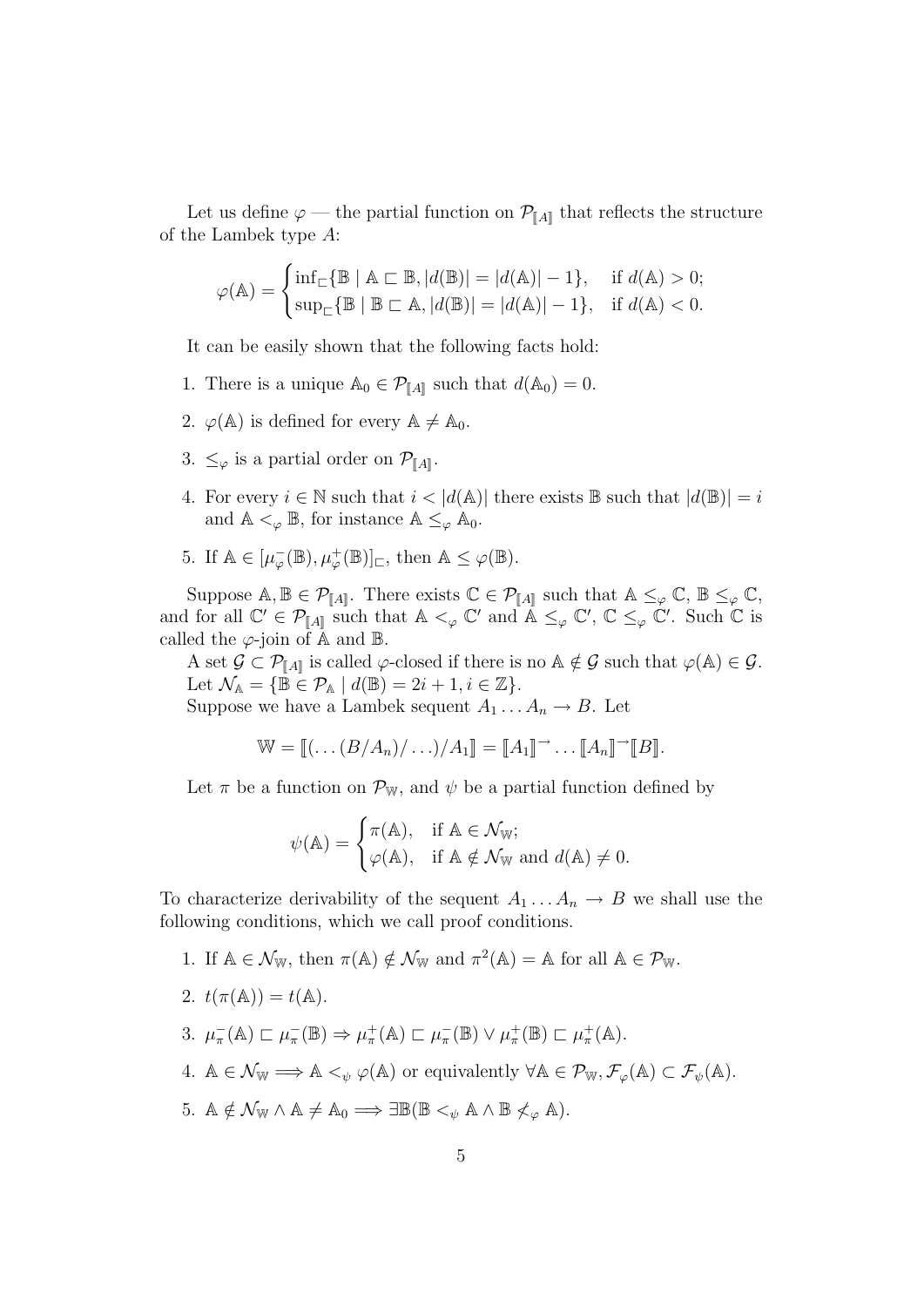Let us define  $\varphi$  — the partial function on  $\mathcal{P}_{\llbracket A \rrbracket}$  that reflects the structure of the Lambek type A:

$$
\varphi(\mathbb{A}) = \begin{cases} \inf_{\mathbb{C}} \{ \mathbb{B} \mid \mathbb{A} \mathbb{C} \mathbb{B}, |d(\mathbb{B})| = |d(\mathbb{A})| - 1 \}, & \text{if } d(\mathbb{A}) > 0; \\ \sup_{\mathbb{C}} \{ \mathbb{B} \mid \mathbb{B} \mathbb{C} \mathbb{A}, |d(\mathbb{B})| = |d(\mathbb{A})| - 1 \}, & \text{if } d(\mathbb{A}) < 0. \end{cases}
$$

It can be easily shown that the following facts hold:

- 1. There is a unique  $\mathbb{A}_0 \in \mathcal{P}_{\llbracket A \rrbracket}$  such that  $d(\mathbb{A}_0) = 0$ .
- 2.  $\varphi(\mathbb{A})$  is defined for every  $\mathbb{A} \neq \mathbb{A}_0$ .
- 3.  $\leq_{\varphi}$  is a partial order on  $\mathcal{P}_{\llbracket A \rrbracket}$ .
- 4. For every  $i \in \mathbb{N}$  such that  $i < |d(\mathbb{A})|$  there exists  $\mathbb{B}$  such that  $|d(\mathbb{B})| = i$ and  $\mathbb{A} <_{\varphi} \mathbb{B}$ , for instance  $\mathbb{A} \leq_{\varphi} \mathbb{A}_0$ .
- 5. If  $\mathbb{A} \in [\mu_{\varphi}^{-}(\mathbb{B}), \mu_{\varphi}^{+}(\mathbb{B})]_{\square}$ , then  $\mathbb{A} \leq \varphi(\mathbb{B})$ .

Suppose  $\mathbb{A}, \mathbb{B} \in \mathcal{P}_{\llbracket A \rrbracket}$ . There exists  $\mathbb{C} \in \mathcal{P}_{\llbracket A \rrbracket}$  such that  $\mathbb{A} \leq_{\varphi} \mathbb{C}, \mathbb{B} \leq_{\varphi} \mathbb{C},$ and for all  $\mathbb{C}' \in \mathcal{P}_{\llbracket A \rrbracket}$  such that  $\mathbb{A} <_{\varphi} \mathbb{C}'$  and  $\mathbb{A} \leq_{\varphi} \mathbb{C}'$ ,  $\mathbb{C} \leq_{\varphi} \mathbb{C}'$ . Such  $\mathbb{C}$  is called the  $\varphi$ -join of A and B.

A set  $\mathcal{G} \subset \mathcal{P}_{\llbracket A \rrbracket}$  is called  $\varphi$ -closed if there is no  $\mathbb{A} \notin \mathcal{G}$  such that  $\varphi(\mathbb{A}) \in \mathcal{G}$ . Let  $\mathcal{N}_{\mathbb{A}} = {\mathbb{B} \in \mathcal{P}_{\mathbb{A}} \mid d(\mathbb{B}) = 2i + 1, i \in \mathbb{Z}}.$ 

Suppose we have a Lambek sequent  $A_1 \dots A_n \to B$ . Let

$$
\mathbb{W} = [[\dots (B/A_n)/\dots)/A_1]] = [[A_1]] \rightarrow \dots [[A_n]] \rightarrow [[B]].
$$

Let  $\pi$  be a function on  $\mathcal{P}_{W}$ , and  $\psi$  be a partial function defined by

$$
\psi(\mathbb{A}) = \begin{cases} \pi(\mathbb{A}), & \text{if } \mathbb{A} \in \mathcal{N}_{\mathbb{W}}; \\ \varphi(\mathbb{A}), & \text{if } \mathbb{A} \notin \mathcal{N}_{\mathbb{W}} \text{ and } d(\mathbb{A}) \neq 0. \end{cases}
$$

To characterize derivability of the sequent  $A_1 \dots A_n \to B$  we shall use the following conditions, which we call proof conditions.

- 1. If  $\mathbb{A} \in \mathcal{N}_{\mathbb{W}}$ , then  $\pi(\mathbb{A}) \notin \mathcal{N}_{\mathbb{W}}$  and  $\pi^2(\mathbb{A}) = \mathbb{A}$  for all  $\mathbb{A} \in \mathcal{P}_{\mathbb{W}}$ .
- 2.  $t(\pi(\mathbb{A})) = t(\mathbb{A}).$
- 3.  $\mu_{\pi}^{-}(\mathbb{A}) \subset \mu_{\pi}^{-}(\mathbb{B}) \Rightarrow \mu_{\pi}^{+}(\mathbb{A}) \subset \mu_{\pi}^{-}(\mathbb{B}) \vee \mu_{\pi}^{+}(\mathbb{B}) \subset \mu_{\pi}^{+}(\mathbb{A}).$
- 4.  $\mathbb{A} \in \mathcal{N}_{\mathbb{W}} \Longrightarrow \mathbb{A} \leq_{\psi} \varphi(\mathbb{A})$  or equivalently  $\forall \mathbb{A} \in \mathcal{P}_{\mathbb{W}}, \mathcal{F}_{\varphi}(\mathbb{A}) \subset \mathcal{F}_{\psi}(\mathbb{A}).$
- 5.  $\mathbb{A} \notin \mathcal{N}_{\mathbb{W}} \wedge \mathbb{A} \neq \mathbb{A}_0 \Longrightarrow \exists \mathbb{B}(\mathbb{B} <_{\psi} \mathbb{A} \wedge \mathbb{B} \not\lt_{\varphi} \mathbb{A}).$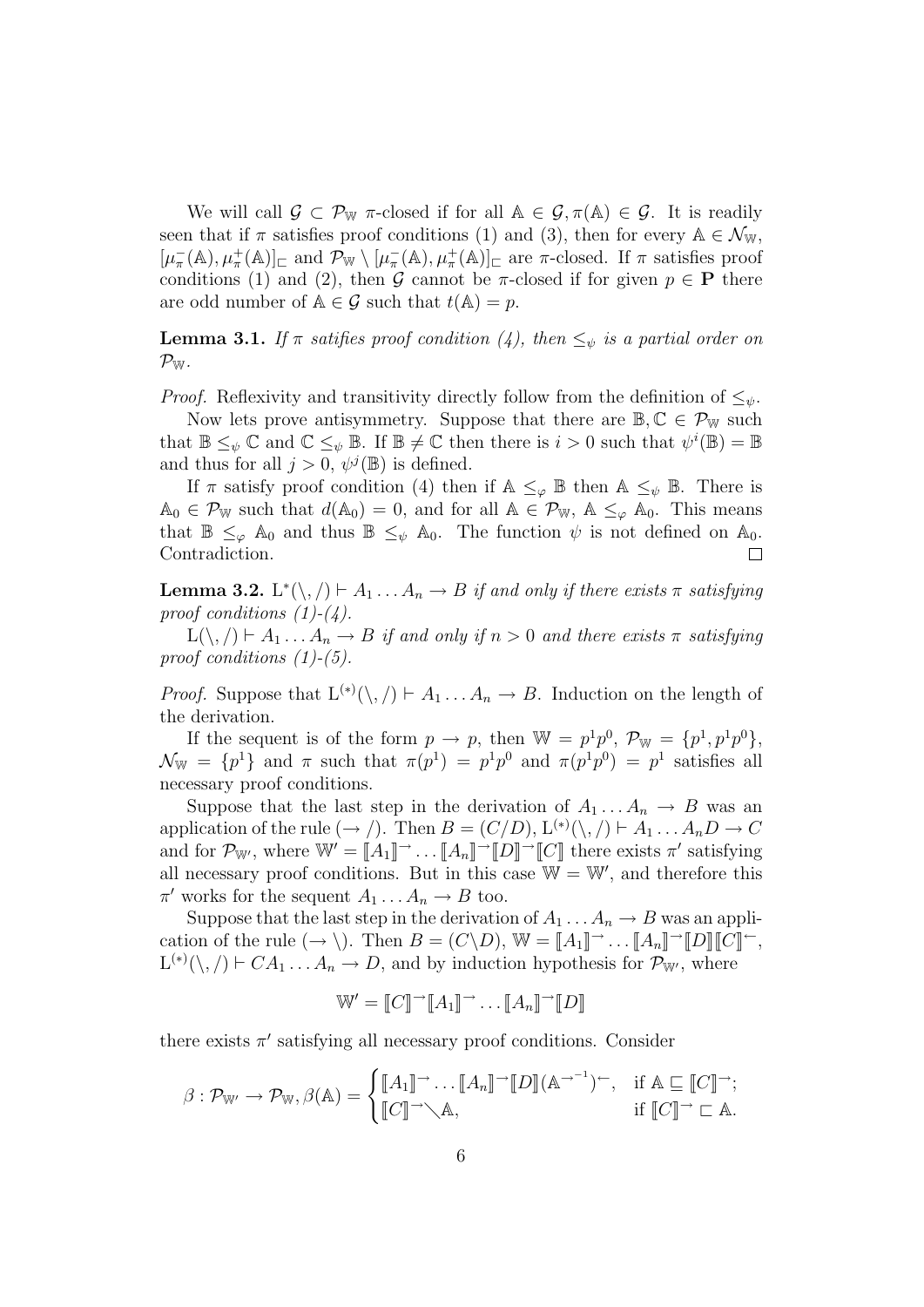We will call  $\mathcal{G} \subset \mathcal{P}_{\mathbb{W}}$   $\pi$ -closed if for all  $\mathbb{A} \in \mathcal{G}, \pi(\mathbb{A}) \in \mathcal{G}$ . It is readily seen that if  $\pi$  satisfies proof conditions (1) and (3), then for every  $\mathbb{A} \in \mathcal{N}_{\mathbb{W}},$  $[\mu_{\pi}^{-}(\mathbb{A}), \mu_{\pi}^{+}(\mathbb{A})]_{\square}$  and  $\mathcal{P}_{\mathbb{W}} \setminus [\mu_{\pi}^{-}(\mathbb{A}), \mu_{\pi}^{+}(\mathbb{A})]_{\square}$  are  $\pi$ -closed. If  $\pi$  satisfies proof conditions (1) and (2), then G cannot be  $\pi$ -closed if for given  $p \in \mathbf{P}$  there are odd number of  $A \in \mathcal{G}$  such that  $t(A) = p$ .

**Lemma 3.1.** If  $\pi$  satifies proof condition (4), then  $\leq_{\psi}$  is a partial order on  $\mathcal{P}_{\mathbb{W}}$  .

*Proof.* Reflexivity and transitivity directly follow from the definition of  $\leq_{\psi}$ .

Now lets prove antisymmetry. Suppose that there are  $\mathbb{B}, \mathbb{C} \in \mathcal{P}_{\mathbb{W}}$  such that  $\mathbb{B} \leq_{\psi} \mathbb{C}$  and  $\mathbb{C} \leq_{\psi} \mathbb{B}$ . If  $\mathbb{B} \neq \mathbb{C}$  then there is  $i > 0$  such that  $\psi^{i}(\mathbb{B}) = \mathbb{B}$ and thus for all  $j > 0$ ,  $\psi^{j}(\mathbb{B})$  is defined.

If  $\pi$  satisfy proof condition (4) then if  $\mathbb{A} \leq_{\varphi} \mathbb{B}$  then  $\mathbb{A} \leq_{\psi} \mathbb{B}$ . There is  $\mathbb{A}_0 \in \mathcal{P}_{\mathbb{W}}$  such that  $d(\mathbb{A}_0) = 0$ , and for all  $\mathbb{A} \in \mathcal{P}_{\mathbb{W}}$ ,  $\mathbb{A} \leq_{\varphi} \mathbb{A}_0$ . This means that  $\mathbb{B} \leq_{\varphi} \mathbb{A}_0$  and thus  $\mathbb{B} \leq_{\psi} \mathbb{A}_0$ . The function  $\psi$  is not defined on  $\mathbb{A}_0$ .<br>Contradiction. Contradiction.

**Lemma 3.2.** L<sup>\*</sup>(\, /)  $\vdash A_1 \ldots A_n \rightarrow B$  *if and only if there exists*  $\pi$  *satisfying proof conditions (1)-(4).*

 $L(\setminus, f) \vdash A_1 \ldots A_n \to B$  *if and only if*  $n > 0$  *and there exists*  $\pi$  *satisfying proof conditions (1)-(5).*

*Proof.* Suppose that  $L^{(*)}(\langle, \rangle) \vdash A_1 \dots A_n \to B$ . Induction on the length of the derivation.

If the sequent is of the form  $p \to p$ , then  $W = p^1 p^0$ ,  $\mathcal{P}_W = \{p^1, p^1 p^0\}$ ,  $\mathcal{N}_{\mathbb{W}} = \{p^1\}$  and  $\pi$  such that  $\pi(p^1) = p^1p^0$  and  $\pi(p^1p^0) = p^1$  satisfies all necessary proof conditions.

Suppose that the last step in the derivation of  $A_1 \dots A_n \to B$  was an application of the rule  $(\rightarrow)$ . Then  $B = (C/D), L^{(*)}(\backslash, ) \vdash A_1 \dots A_n D \rightarrow C$ and for  $\mathcal{P}_{W'}$ , where  $\mathbb{W}' = [A_1]^{\rightharpoonup} \dots [A_n]^{\rightharpoonup} [D]$  there exists  $\pi'$  satisfying all necessary proof conditions. But in this case  $\mathbb{W} = \mathbb{W}'$ , and therefore this  $\pi'$  works for the sequent  $A_1 \dots A_n \to B$  too.

Suppose that the last step in the derivation of  $A_1 \dots A_n \to B$  was an application of the rule  $(\to \setminus)$ . Then  $B = (C \setminus D)$ ,  $\mathbb{W} = [A_1]^{\to} \dots [A_n]^{\to} [D][C]^{\leftarrow}$ ,  $L^{(*)}(\setminus, / \rvert \vdash CA_1 \ldots A_n \to D$ , and by induction hypothesis for  $\mathcal{P}_{W'}$ , where

$$
\mathbb{W}' = \llbracket C \rrbracket^{\rightarrow} \llbracket A_1 \rrbracket^{\rightarrow} \dots \llbracket A_n \rrbracket^{\rightarrow} \llbracket D \rrbracket
$$

there exists  $\pi'$  satisfying all necessary proof conditions. Consider

$$
\beta: \mathcal{P}_{\mathbb{W}'} \to \mathcal{P}_{\mathbb{W}}, \beta(\mathbb{A}) = \begin{cases} [\![A_1]\!] \to \dots [\![A_n]\!] \to [\![D]\!] (\mathbb{A}^{\to^{-1}})^\leftarrow, & \text{if } \mathbb{A} \sqsubseteq [\![C]\!] \to \\ [\![C]\!] \to \mathbb{A}, & \text{if } [\![C]\!] \to \sqsubseteq \mathbb{A}. \end{cases}
$$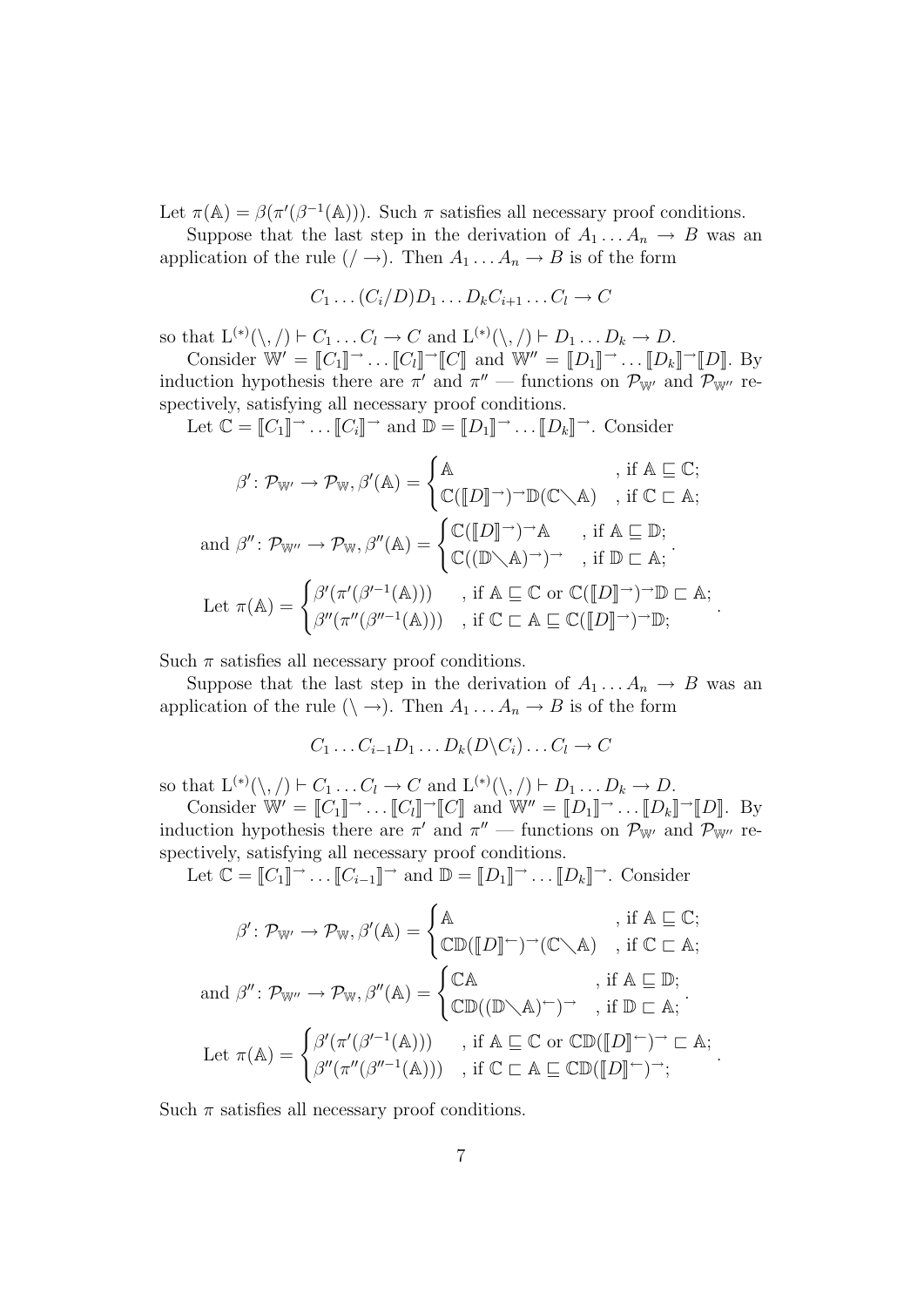Let  $\pi(\mathbb{A}) = \beta(\pi'(\beta^{-1}(\mathbb{A})))$ . Such  $\pi$  satisfies all necessary proof conditions.

Suppose that the last step in the derivation of  $A_1 \dots A_n \to B$  was an application of the rule  $(/\rightarrow)$ . Then  $A_1 \dots A_n \rightarrow B$  is of the form

$$
C_1 \ldots (C_i/D)D_1 \ldots D_k C_{i+1} \ldots C_l \to C
$$

so that  $L^{(*)}(\setminus, /) \vdash C_1 \ldots C_l \to C$  and  $L^{(*)}(\setminus, /) \vdash D_1 \ldots D_k \to D$ .

Consider  $\mathbb{W}' = [C_1] \rightarrow \dots [C_l] \rightarrow [C]$  and  $\mathbb{W}'' = [D_1] \rightarrow \dots [D_k] \rightarrow [D]$ . By induction hypothesis there are  $\pi'$  and  $\pi''$  — functions on  $\mathcal{P}_{W'}$  and  $\mathcal{P}_{W''}$  respectively, satisfying all necessary proof conditions.

Let  $\mathbb{C} = [C_1] \rightarrow \dots [C_i] \rightarrow \text{and } \mathbb{D} = [D_1] \rightarrow \dots [D_k] \rightarrow \text{. Consider}$ 

$$
\beta': \mathcal{P}_{\mathbb{W}'} \to \mathcal{P}_{\mathbb{W}}, \beta'(\mathbb{A}) = \begin{cases} \mathbb{A} & , \text{ if } \mathbb{A} \subseteq \mathbb{C}; \\ \mathbb{C}([D] \to \to \mathbb{D}(\mathbb{C} \setminus \mathbb{A}) & , \text{ if } \mathbb{C} \subset \mathbb{A}; \end{cases}
$$
  
and  $\beta'' : \mathcal{P}_{\mathbb{W}''} \to \mathcal{P}_{\mathbb{W}}, \beta''(\mathbb{A}) = \begin{cases} \mathbb{C}([D] \to \to \mathbb{A}) & , \text{ if } \mathbb{A} \subseteq \mathbb{D}; \\ \mathbb{C}((\mathbb{D} \setminus \mathbb{A}) \to \to \to \mathbb{A}; \text{ if } \mathbb{D} \subset \mathbb{A}; \end{cases}$   
Let  $\pi(\mathbb{A}) = \begin{cases} \beta'(\pi'(\beta'^{-1}(\mathbb{A}))) & , \text{ if } \mathbb{A} \subseteq \mathbb{C} \text{ or } \mathbb{C}([D] \to \to \mathbb{D}) \subset \mathbb{A}; \\ \beta''(\pi''(\beta''^{-1}(\mathbb{A}))) & , \text{ if } \mathbb{C} \subset \mathbb{A} \subseteq \mathbb{C}([D] \to \to \mathbb{D}); \end{cases}$ .

Such  $\pi$  satisfies all necessary proof conditions.

Suppose that the last step in the derivation of  $A_1 \dots A_n \to B$  was an application of the rule  $(\setminus \to)$ . Then  $A_1 \dots A_n \to B$  is of the form

$$
C_1 \ldots C_{i-1} D_1 \ldots D_k(D \backslash C_i) \ldots C_l \to C
$$

so that  $L^{(*)}(\setminus, /) \vdash C_1 \ldots C_l \to C$  and  $L^{(*)}(\setminus, /) \vdash D_1 \ldots D_k \to D$ .

Consider  $\mathbb{W}' = [C_1] \rightarrow \dots [C_l] \rightarrow [C]$  and  $\mathbb{W}'' = [D_1] \rightarrow \dots [D_k] \rightarrow [D]$ . By induction hypothesis there are  $\pi'$  and  $\pi''$  — functions on  $\mathcal{P}_{W'}$  and  $\mathcal{P}_{W''}$  respectively, satisfying all necessary proof conditions.

Let  $\mathbb{C} = [C_1] \rightarrow \ldots [C_{i-1}] \rightarrow \text{and } \mathbb{D} = [D_1] \rightarrow \ldots [D_k] \rightarrow \text{Consider}$ 

$$
\beta': \mathcal{P}_{\mathbb{W}'} \to \mathcal{P}_{\mathbb{W}}, \beta'(\mathbb{A}) = \begin{cases} \mathbb{A} & , \text{ if } \mathbb{A} \subseteq \mathbb{C}; \\ \mathbb{CD}([\![D]\!] \vdash)^{\rightarrow}(\mathbb{C} \setminus \mathbb{A}) & , \text{ if } \mathbb{C} \subset \mathbb{A}; \end{cases}
$$
  
and  $\beta'' : \mathcal{P}_{\mathbb{W}''} \to \mathcal{P}_{\mathbb{W}}, \beta''(\mathbb{A}) = \begin{cases} \mathbb{C}\mathbb{A} & , \text{ if } \mathbb{A} \subseteq \mathbb{D}; \\ \mathbb{CD}((\mathbb{D} \setminus \mathbb{A})^{\leftarrow}) \rightarrow , \text{ if } \mathbb{D} \subset \mathbb{A}; \end{cases}$   
Let  $\pi(\mathbb{A}) = \begin{cases} \beta'(\pi'(\beta'^{-1}(\mathbb{A}))) & , \text{ if } \mathbb{A} \subseteq \mathbb{C} \text{ or } \mathbb{CD}([\![D]\!]^{\leftarrow}) \rightarrow \mathbb{C} \text{ A}; \\ \beta''(\pi''(\beta''^{-1}(\mathbb{A}))) & , \text{ if } \mathbb{C} \subset \mathbb{A} \subseteq \mathbb{CD}([\![D]\!]^{\leftarrow}) \rightarrow; \end{cases}$ .

Such  $\pi$  satisfies all necessary proof conditions.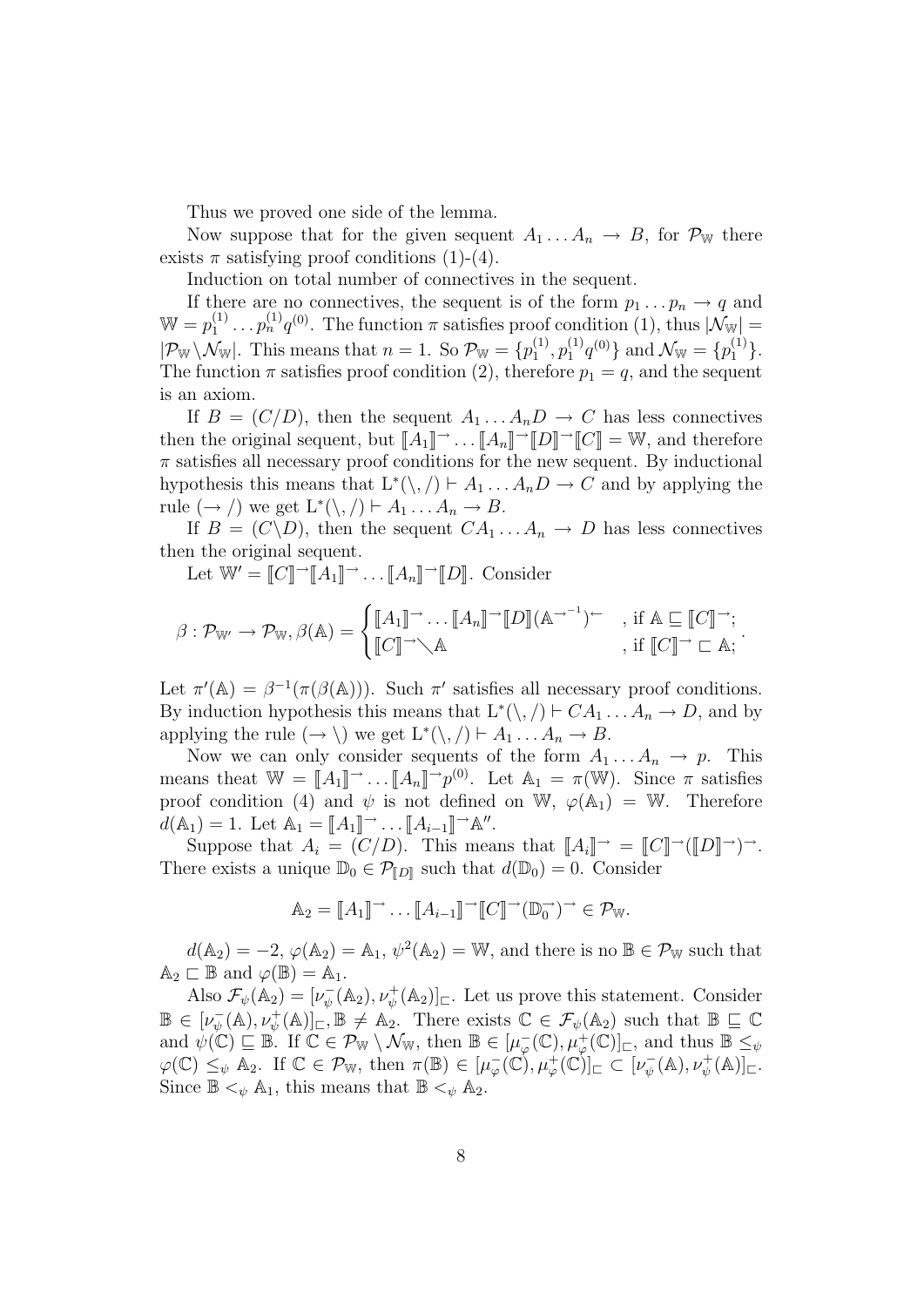Thus we proved one side of the lemma.

Now suppose that for the given sequent  $A_1 \dots A_n \to B$ , for  $\mathcal{P}_{\mathbb{W}}$  there exists  $\pi$  satisfying proof conditions (1)-(4).

Induction on total number of connectives in the sequent.

If there are no connectives, the sequent is of the form  $p_1 \nldots p_n \rightarrow q$  and  $W = p_1^{(1)} \dots p_n^{(1)} q^{(0)}$ . The function  $\pi$  satisfies proof condition (1), thus  $|\mathcal{N}_{W}| =$  $|\mathcal{P}_{\mathbb{W}} \setminus \mathcal{N}_{\mathbb{W}}|$ . This means that  $n = 1$ . So  $\mathcal{P}_{\mathbb{W}} = \{p_1^{(1)}, p_1^{(1)}q^{(0)}\}$  and  $\mathcal{N}_{\mathbb{W}} = \{p_1^{(1)}\}$ . The function  $\pi$  satisfies proof condition (2), therefore  $p_1 = q$ , and the sequent is an axiom.

If  $B = (C/D)$ , then the sequent  $A_1 \dots A_n D \rightarrow C$  has less connectives then the original sequent, but  $[[A_1]] \rightarrow \dots [H_n]] \rightarrow [[D]] \rightarrow [[C]] = \mathbb{W}$ , and therefore  $\pi$  satisfies all necessary proof conditions for the new sequent. By inductional hypothesis this means that  $L^*(\langle, \rangle) \vdash A_1 \dots A_n D \to C$  and by applying the rule  $(\rightarrow)$  we get  $L^*(\setminus,') \vdash A_1 \dots A_n \rightarrow B$ .

If  $B = (C \backslash D)$ , then the sequent  $CA_1 \dots A_n \to D$  has less connectives then the original sequent.

Let  $\mathbb{W}' = \llbracket C \rrbracket \neg \llbracket A_1 \rrbracket \neg \dots \llbracket A_n \rrbracket \neg \llbracket D \rrbracket$ . Consider

$$
\beta: \mathcal{P}_{\mathbb{W}'} \to \mathcal{P}_{\mathbb{W}}, \beta(\mathbb{A}) = \begin{cases} [A_1] \to \dots [A_n] \to [D] (\mathbb{A} \to^{-1}) \subset \\ [C] \to \mathbb{A} \end{cases}, \text{ if } \mathbb{A} \sqsubseteq [C] \to \mathbb{A}; \\ j \colon [C] \to \mathbb{A}.
$$

Let  $\pi'(\mathbb{A}) = \beta^{-1}(\pi(\beta(\mathbb{A})))$ . Such  $\pi'$  satisfies all necessary proof conditions. By induction hypothesis this means that  $L^*(\langle, \rangle) \vdash CA_1 \dots A_n \to D$ , and by applying the rule  $(\to \setminus)$  we get  $L^*(\setminus, \setminus) \vdash A_1 \dots A_n \to B$ .

Now we can only consider sequents of the form  $A_1 \ldots A_n \rightarrow p$ . This means theat  $\mathbb{W} = [A_1]^{\rightharpoonup} \dots [A_n]^{\rightharpoonup} p^{(0)}$ . Let  $A_1 = \pi(\mathbb{W})$ . Since  $\pi$  satisfies proof condition (4) and  $\psi$  is not defined on W,  $\varphi(A_1) = W$ . Therefore  $d(\mathbb{A}_1) = 1$ . Let  $\mathbb{A}_1 = [A_1] \rightarrow \dots [A_{i-1}] \rightarrow \mathbb{A}$ ".

Suppose that  $A_i = (C/D)$ . This means that  $\llbracket A_i \rrbracket \rightarrow = \llbracket C \rrbracket \rightarrow (\llbracket D \rrbracket \rightarrow) \rightarrow$ . There exists a unique  $\mathbb{D}_0 \in \mathcal{P}_{\llbracket D \rrbracket}$  such that  $d(\mathbb{D}_0) = 0$ . Consider

$$
\mathbb{A}_2 = [\![A_1]\!] \rightarrow \dots [\![A_{i-1}]\!] \rightarrow [\![C]\!] \rightarrow (\mathbb{D}_0^-) \rightarrow \in \mathcal{P}_{\mathbb{W}}.
$$

 $d(\mathbb{A}_2) = -2$ ,  $\varphi(\mathbb{A}_2) = \mathbb{A}_1$ ,  $\psi^2(\mathbb{A}_2) = \mathbb{W}$ , and there is no  $\mathbb{B} \in \mathcal{P}_{\mathbb{W}}$  such that  $\mathbb{A}_2 \sqsubset \mathbb{B}$  and  $\varphi(\mathbb{B}) = \mathbb{A}_1$ .

Also  $\mathcal{F}_{\psi}(\mathbb{A}_2) = [\nu_{\psi}^-(\mathbb{A}_2), \nu_{\psi}^+(\mathbb{A}_2)]_{\square}$ . Let us prove this statement. Consider  $\mathbb{B} \in [\nu_{\psi}^{-}(\mathbb{A}), \nu_{\psi}^{+}(\mathbb{A})]_{\square}, \mathbb{B} \neq \mathbb{A}_{2}$ . There exists  $\mathbb{C} \in \mathcal{F}_{\psi}(\mathbb{A}_{2})$  such that  $\mathbb{B} \subseteq \mathbb{C}$ and  $\psi(\mathbb{C}) \sqsubseteq \mathbb{B}$ . If  $\mathbb{C} \in \mathcal{P}_{\mathbb{W}} \setminus \mathcal{N}_{\mathbb{W}}$ , then  $\mathbb{B} \in [\mu_{\varphi}^{-}(\mathbb{C}), \mu_{\varphi}^{+}(\mathbb{C})]_{\sqsubset}$ , and thus  $\mathbb{B} \leq_{\psi}$  $\varphi(\mathbb{C}) \leq_{\psi} A_2$ . If  $\mathbb{C} \in \mathcal{P}_{\mathbb{W}}$ , then  $\pi(\mathbb{B}) \in [\mu_{\varphi}^-(\mathbb{C}), \mu_{\varphi}^+(\mathbb{C})]_{\sqsubset} \subset [\nu_{\psi}^-(\mathbb{A}), \nu_{\psi}^+(\mathbb{A})]_{\sqsubset}$ . Since  $\mathbb{B} \leq_{\psi} \mathbb{A}_1$ , this means that  $\mathbb{B} \leq_{\psi} \mathbb{A}_2$ .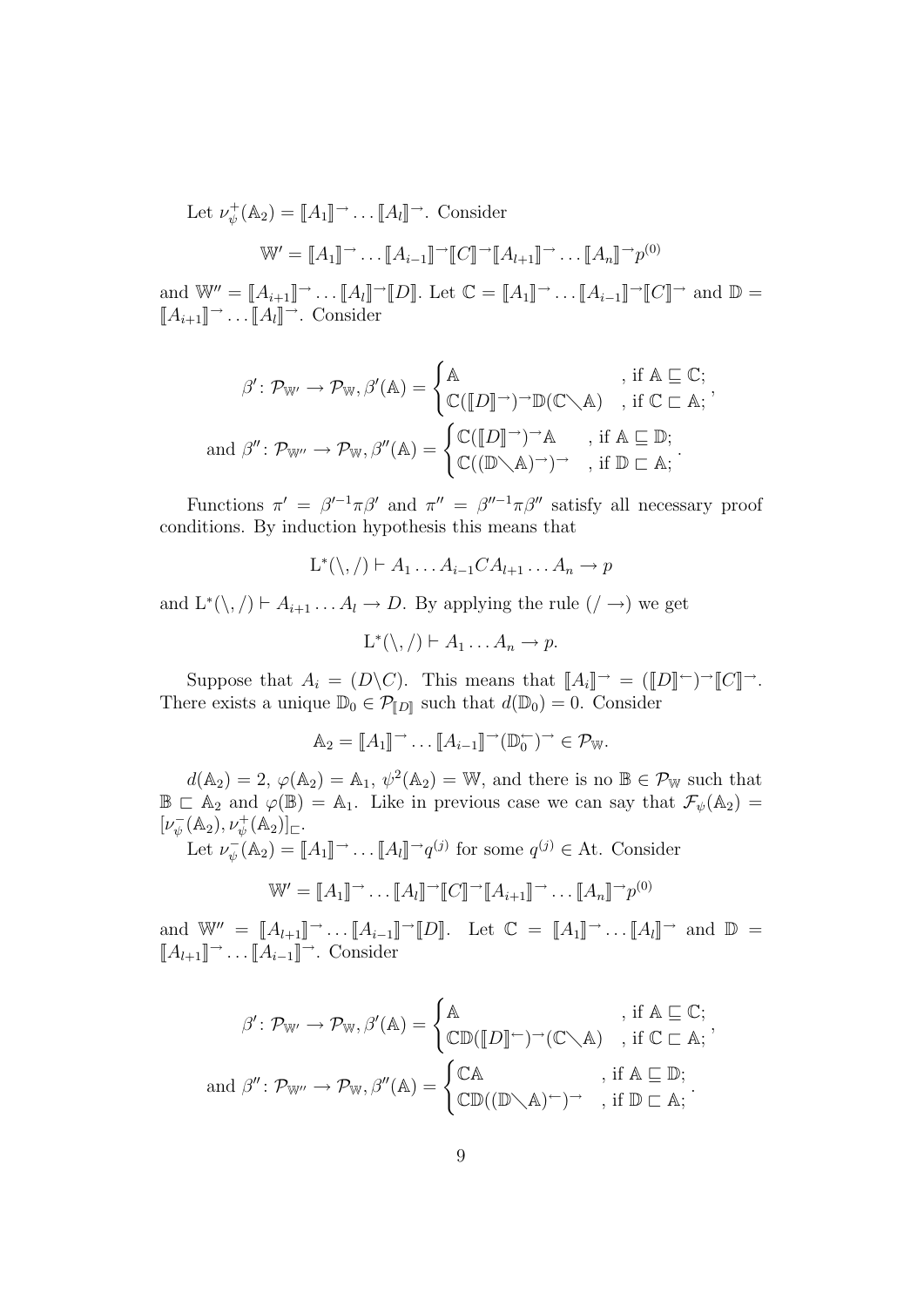Let  $\nu_{\psi}^{+}(\mathbb{A}_{2}) = [ \! [ A_{1} ] \!] \rightarrow \dots [ \! [ A_{l} ] \!] \rightarrow$ . Consider

$$
\mathbb{W}' = [A_1] \rightarrow \dots [A_{i-1}] \rightarrow [C] \rightarrow [A_{i+1}] \rightarrow \dots [A_n] \rightarrow p^{(0)}
$$

and  $\mathbb{W}'' = [\![A_{i+1}]\!] \rightarrow \dots [\![A_l]\!] \rightarrow [\![D]\!]$ . Let  $\mathbb{C} = [\![A_1]\!] \rightarrow \dots [\![A_{i-1}]\!] \rightarrow [\![C]\!] \rightarrow$  and  $\mathbb{D} =$  $[[A_{i+1}]]^{\rightarrow} \dots [[A_l]]^{\rightarrow}$ . Consider

$$
\beta' : \mathcal{P}_{\mathbb{W}'} \to \mathcal{P}_{\mathbb{W}}, \beta'(\mathbb{A}) = \begin{cases} \mathbb{A} & , \text{ if } \mathbb{A} \subseteq \mathbb{C}; \\ \mathbb{C}([D] \to \to \mathbb{D}(\mathbb{C} \setminus \mathbb{A}) & , \text{ if } \mathbb{C} \subset \mathbb{A}; \end{cases}
$$
  
and  $\beta'' : \mathcal{P}_{\mathbb{W}''} \to \mathcal{P}_{\mathbb{W}}, \beta''(\mathbb{A}) = \begin{cases} \mathbb{C}([D] \to \to \mathbb{A}) & , \text{ if } \mathbb{A} \subseteq \mathbb{D}; \\ \mathbb{C}((\mathbb{D} \setminus \mathbb{A}) \to \to \to \mathbb{A}; \text{ if } \mathbb{D} \subset \mathbb{A}; \end{cases}$ 

,

,

Functions  $\pi' = \beta'^{-1}\pi\beta'$  and  $\pi'' = \beta''^{-1}\pi\beta''$  satisfy all necessary proof conditions. By induction hypothesis this means that

$$
L^*(\setminus, / \rvert \vdash A_1 \ldots A_{i-1}CA_{l+1} \ldots A_n \to p
$$

and  $L^*(\setminus, / \models A_{i+1} \dots A_l \rightarrow D$ . By applying the rule  $( / \rightarrow )$  we get

 $L^*(\setminus, / \rhd A_1 \ldots A_n \to p.$ 

Suppose that  $A_i = (D \backslash C)$ . This means that  $\llbracket A_i \rrbracket \rightarrow = (\llbracket D \rrbracket \rightarrow \top \llbracket C \rrbracket \rightarrow$ . There exists a unique  $\mathbb{D}_0 \in \mathcal{P}_{\llbracket D \rrbracket}$  such that  $d(\mathbb{D}_0) = 0$ . Consider

$$
\mathbb{A}_2 = [\![A_1]\!] \rightarrow \dots [\![A_{i-1}]\!] \rightarrow (\mathbb{D}_0^{\leftarrow}) \rightarrow \in \mathcal{P}_{\mathbb{W}}.
$$

 $d(\mathbb{A}_2) = 2, \varphi(\mathbb{A}_2) = \mathbb{A}_1, \psi^2(\mathbb{A}_2) = \mathbb{W}$ , and there is no  $\mathbb{B} \in \mathcal{P}_{\mathbb{W}}$  such that  $\mathbb{B} \subset A_2$  and  $\varphi(\mathbb{B}) = A_1$ . Like in previous case we can say that  $\mathcal{F}_{\psi}(A_2) =$  $[\nu_\psi^-(\mathbb{A}_2), \nu_\psi^+(\mathbb{A}_2)]_{\square}.$ 

Let  $\nu_{\psi}^-(\mathbb{A}_2) = [\![A_1]\!] \rightarrow \dots [\![A_l]\!] \rightarrow q^{(j)}$  for some  $q^{(j)} \in \mathbb{A}$ t. Consider

$$
\mathbb{W}' = [\![A_1]\!] \rightarrow \dots [\![A_l]\!] \rightarrow [\![C]\!] \rightarrow [\![A_{i+1}]\!] \rightarrow \dots [\![A_n]\!] \rightarrow p^{(0)}
$$

and  $\mathbb{W}'' = [A_{l+1}] \rightarrow \dots [A_{i-1}] \rightarrow [D]$ . Let  $\mathbb{C} = [A_1] \rightarrow \dots [A_l] \rightarrow$  and  $\mathbb{D} =$  $[[A_{l+1}]]^{\rightarrow} \dots [[A_{i-1}]]^{\rightarrow}$ . Consider

$$
\beta' : \mathcal{P}_{\mathbb{W}'} \to \mathcal{P}_{\mathbb{W}}, \beta'(\mathbb{A}) = \begin{cases} \mathbb{A} & , \text{ if } \mathbb{A} \subseteq \mathbb{C}; \\ \mathbb{CD}([\mathbb{D}] \cap ) \to (\mathbb{C} \setminus \mathbb{A}) & , \text{ if } \mathbb{C} \subset \mathbb{A}; \\ \text{ and } \beta' : \mathcal{P}_{\mathbb{W}''} \to \mathcal{P}_{\mathbb{W}}, \beta''(\mathbb{A}) = \begin{cases} \mathbb{C}\mathbb{A} & , \text{ if } \mathbb{A} \subseteq \mathbb{D}; \\ \mathbb{CD}((\mathbb{D} \setminus \mathbb{A}) \cap ) \to , \text{ if } \mathbb{D} \subset \mathbb{A}; \end{cases} \end{cases}
$$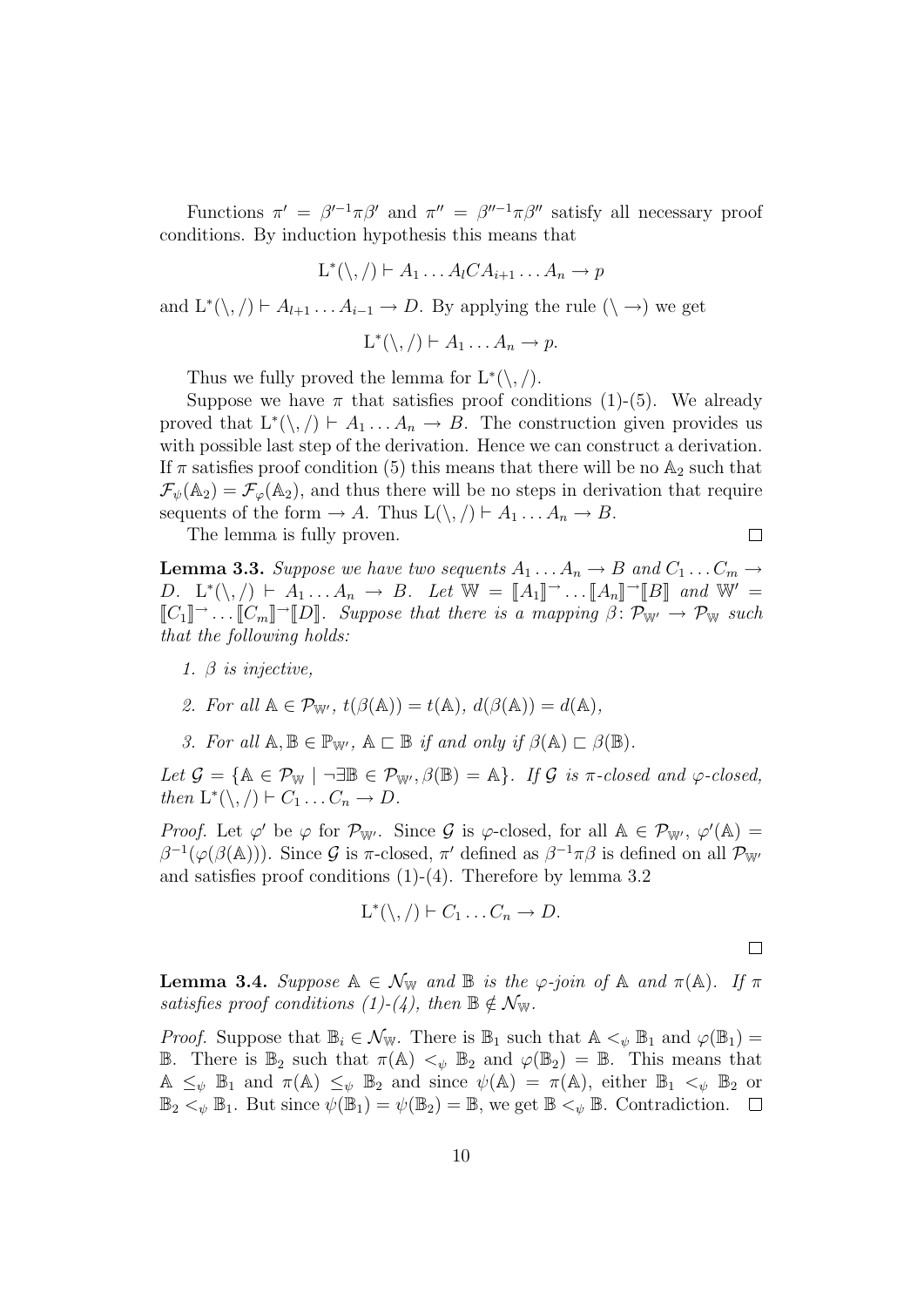Functions  $\pi' = \beta'^{-1}\pi\beta'$  and  $\pi'' = \beta''^{-1}\pi\beta''$  satisfy all necessary proof conditions. By induction hypothesis this means that

$$
L^*(\setminus, / \rvert \vdash A_1 \ldots A_l C A_{i+1} \ldots A_n \rightarrow p
$$

and  $L^*(\langle, \rangle) \vdash A_{l+1} \ldots A_{i-1} \to D$ . By applying the rule  $(\langle \to \rangle)$  we get

 $L^*(\setminus, / \rhd A_1 \ldots A_n \to p.$ 

Thus we fully proved the lemma for  $L^*(\langle, \rangle)$ .

Suppose we have  $\pi$  that satisfies proof conditions (1)-(5). We already proved that  $L^*(\setminus, / \models A_1 \dots A_n \rightarrow B$ . The construction given provides us with possible last step of the derivation. Hence we can construct a derivation. If  $\pi$  satisfies proof condition (5) this means that there will be no  $\mathbb{A}_2$  such that  $\mathcal{F}_{\psi}(\mathbb{A}_2) = \mathcal{F}_{\varphi}(\mathbb{A}_2)$ , and thus there will be no steps in derivation that require sequents of the form  $\rightarrow A$ . Thus  $L(\backslash, / \mid A_1 \dots A_n \rightarrow B$ .

The lemma is fully proven.

 $\Box$ 

**Lemma 3.3.** *Suppose we have two sequents*  $A_1 \ldots A_n \rightarrow B$  and  $C_1 \ldots C_m \rightarrow$ D.  $L^*(\setminus, /) \vdash A_1 \ldots A_n \to B$ . Let  $\mathbb{W} = [\![A_1]\!] \rightarrow \ldots [ \![A_n]\!] \rightarrow [\![B]\!]$  and  $\mathbb{W}' =$  $[[C_1]] \rightarrow ... [C_m] \rightarrow [D]$ *. Suppose that there is a mapping*  $\beta \colon \mathcal{P}_{W'} \to \mathcal{P}_{W}$  such *that the following holds:*

*1.* β *is injective,*

2. For all 
$$
\mathbb{A} \in \mathcal{P}_{\mathbb{W}'}
$$
,  $t(\beta(\mathbb{A})) = t(\mathbb{A})$ ,  $d(\beta(\mathbb{A})) = d(\mathbb{A})$ ,

*3. For all*  $A, B \in \mathbb{P}_{W'}$ ,  $A \sqsubset B$  *if and only if*  $\beta(A) \sqsubset \beta(B)$ *.* 

 $Let$   $\mathcal{G} = {\mathbb{A} \in \mathcal{P}_{\mathbb{W}}}$  |  $\neg \exists \mathbb{B} \in \mathcal{P}_{\mathbb{W}'}, \beta(\mathbb{B}) = \mathbb{A}$ *. If*  $\mathcal{G}$  *is*  $\pi$ *-closed and*  $\varphi$ *-closed, then*  $L^*(\setminus, /) \vdash C_1 \ldots C_n \to D$ .

*Proof.* Let  $\varphi'$  be  $\varphi$  for  $\mathcal{P}_{W'}$ . Since  $\mathcal{G}$  is  $\varphi$ -closed, for all  $A \in \mathcal{P}_{W'}$ ,  $\varphi'(A) =$  $\beta^{-1}(\varphi(\beta(\mathbb{A})))$ . Since G is  $\pi$ -closed,  $\pi'$  defined as  $\beta^{-1}\pi\beta$  is defined on all  $\mathcal{P}_{\mathbb{W}'}$ and satisfies proof conditions (1)-(4). Therefore by lemma 3.2

$$
L^*(\setminus, / \rvert F_1 \ldots C_n \to D.
$$

 $\Box$ 

**Lemma 3.4.** *Suppose*  $A \in \mathcal{N}_{\mathbb{W}}$  *and*  $B$  *is the*  $\varphi$ -join of  $A$  *and*  $\pi(A)$ *.* If  $\pi$ *satisfies* proof conditions  $(1)-(4)$ , then  $\mathbb{B} \notin \mathcal{N}_{\mathbb{W}}$ .

*Proof.* Suppose that  $\mathbb{B}_i \in \mathcal{N}_{\mathbb{W}}$ . There is  $\mathbb{B}_1$  such that  $\mathbb{A} \leq_{\psi} \mathbb{B}_1$  and  $\varphi(\mathbb{B}_1) =$ **B**. There is  $\mathbb{B}_2$  such that  $\pi(\mathbb{A}) <_{\psi} \mathbb{B}_2$  and  $\varphi(\mathbb{B}_2) = \mathbb{B}$ . This means that  $\mathbb{A} \leq_{\psi} \mathbb{B}_1$  and  $\pi(\mathbb{A}) \leq_{\psi} \mathbb{B}_2$  and since  $\psi(\mathbb{A}) = \pi(\mathbb{A})$ , either  $\mathbb{B}_1 \leq_{\psi} \mathbb{B}_2$  or  $\mathbb{B}_2 <_{\psi} \mathbb{B}_1$ . But since  $\psi(\mathbb{B}_1) = \psi(\mathbb{B}_2) = \mathbb{B}$ , we get  $\mathbb{B} <_{\psi} \mathbb{B}$ . Contradiction.  $\Box$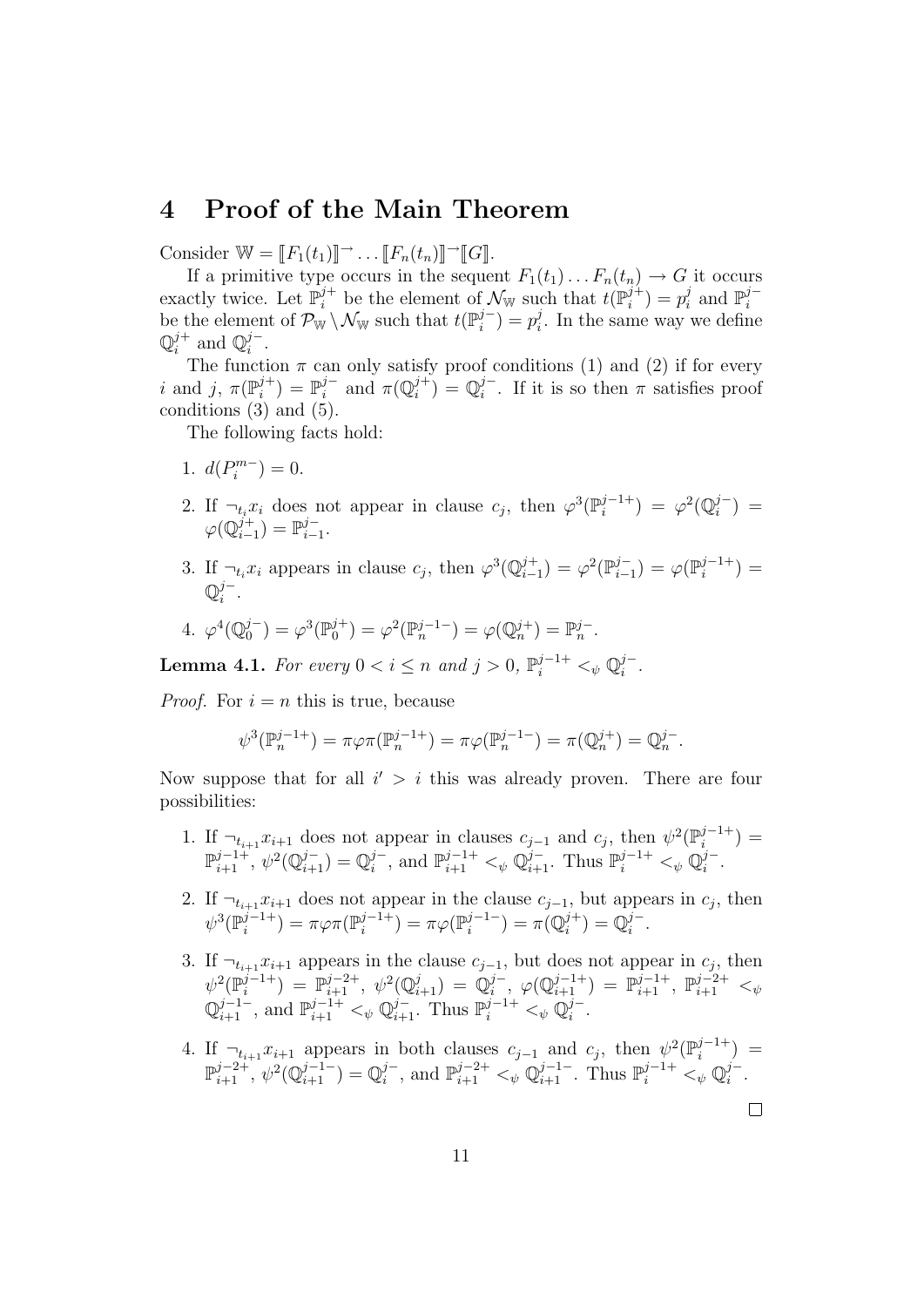### 4 Proof of the Main Theorem

Consider  $\mathbb{W} = [F_1(t_1)] \rightarrow \dots [F_n(t_n)] \rightarrow [G]$ .

If a primitive type occurs in the sequent  $F_1(t_1) \dots F_n(t_n) \to G$  it occurs exactly twice. Let  $\mathbb{P}_i^{j+}$  be the element of  $\mathcal{N}_{\mathbb{W}}$  such that  $t(\mathbb{P}_i^{j+}) = p_i^j$  and  $\mathbb{P}_i^{j-}$ be the element of  $\mathcal{P}_{\mathbb{W}} \setminus \mathcal{N}_{\mathbb{W}}$  such that  $t(\mathbb{P}_{i}^{j-}) = p_{i}^{j}$ . In the same way we define  $\mathbb{Q}_i^{j+}$  and  $\mathbb{Q}_i^{j-}$ .

The function  $\pi$  can only satisfy proof conditions (1) and (2) if for every i and j,  $\pi(\mathbb{P}_i^{j+}) = \mathbb{P}_i^{j-}$  and  $\pi(\mathbb{Q}_i^{j+}) = \mathbb{Q}_i^{j-}$ . If it is so then  $\pi$  satisfies proof conditions  $(3)$  and  $(5)$ .

The following facts hold:

- 1.  $d(P_i^{m-}) = 0$ .
- 2. If  $\neg_t x_i$  does not appear in clause  $c_j$ , then  $\varphi^3(\mathbb{P}_i^{j-1+}) = \varphi^2(\mathbb{Q}_i^{j-}) =$  $\varphi(\mathbb{Q}_{i-1}^{j+}) = \mathbb{P}_{i-1}^{j-}.$
- 3. If  $\neg_t x_i$  appears in clause  $c_j$ , then  $\varphi^3(\mathbb{Q}_{i-1}^{j+}) = \varphi^2(\mathbb{P}_{i-1}^{j-}) = \varphi(\mathbb{P}_{i}^{j-1+}) =$  $\mathbb{Q}_i^{j-}.$

4. 
$$
\varphi^4(\mathbb{Q}_0^{j-}) = \varphi^3(\mathbb{P}_0^{j+}) = \varphi^2(\mathbb{P}_n^{j-1-}) = \varphi(\mathbb{Q}_n^{j+}) = \mathbb{P}_n^{j-}
$$
.

**Lemma 4.1.** *For every*  $0 < i \leq n$  *and*  $j > 0$ ,  $\mathbb{P}_{i}^{j-1+} <_{\psi} \mathbb{Q}_{i}^{j-}$ *.* 

*Proof.* For  $i = n$  this is true, because

$$
\psi^3(\mathbb{P}_n^{j-1+}) = \pi \varphi \pi(\mathbb{P}_n^{j-1+}) = \pi \varphi(\mathbb{P}_n^{j-1-}) = \pi(\mathbb{Q}_n^{j+}) = \mathbb{Q}_n^{j-}.
$$

Now suppose that for all  $i' > i$  this was already proven. There are four possibilities:

- 1. If  $\neg_{t_{i+1}} x_{i+1}$  does not appear in clauses  $c_{j-1}$  and  $c_j$ , then  $\psi^2(\mathbb{P}_i^{j-1+}) =$  $\mathbb{P}_{i+1}^{j-1+}, \psi^2(\mathbb{Q}_{i+1}^{j-}) = \mathbb{Q}_i^{j-}, \text{ and } \mathbb{P}_{i+1}^{j-1+} <_{\psi} \mathbb{Q}_{i+1}^{j-}. \text{ Thus } \mathbb{P}_i^{j-1+} <_{\psi} \mathbb{Q}_i^{j-}.$
- 2. If  $\neg_{t_{i+1}} x_{i+1}$  does not appear in the clause  $c_{j-1}$ , but appears in  $c_j$ , then  $\psi^3(\mathbb{P}^{j-1+}_{i}) = \pi \varphi \pi(\mathbb{P}^{j-1+}_{i}) = \pi \varphi(\mathbb{P}^{j-1-}_{i}) = \pi(\mathbb{Q}^{j+}_{i}) = \mathbb{Q}^{j-}_{i}.$
- 3. If  $\neg_{t_{i+1}} x_{i+1}$  appears in the clause  $c_{j-1}$ , but does not appear in  $c_j$ , then  $\psi^2(\mathbb{P}^{j-1+}_{i}) \; = \; \mathbb{P}^{j-2+}_{i+1}, \; \psi^2(\mathbb{Q}^{j}_{i+1}) \; = \; \mathbb{Q}^{j-}_{i}, \; \varphi(\mathbb{Q}^{j-1+}_{i+1}) \; = \; \mathbb{P}^{j-1+}_{i+1}, \; \mathbb{P}^{j-2+}_{i+1} \; <_{\psi}$  $\mathbb{Q}_{i+1}^{j-1-}$ , and  $\mathbb{P}_{i+1}^{j-1+} <_{\psi} \mathbb{Q}_{i+1}^{j-}$ . Thus  $\mathbb{P}_{i}^{j-1+} <_{\psi} \mathbb{Q}_{i}^{j-}$ .
- 4. If  $\neg_{t_{i+1}} x_{i+1}$  appears in both clauses  $c_{j-1}$  and  $c_j$ , then  $\psi^2(\mathbb{P}_i^{j-1+}) =$  $\mathbb{P}_{i+1}^{j-2+}, \psi^2(\mathbb{Q}_{i+1}^{j-1-}) = \mathbb{Q}_i^{j-}, \text{ and } \mathbb{P}_{i+1}^{j-2+} <_{\psi} \mathbb{Q}_{i+1}^{j-1-}. \text{ Thus } \mathbb{P}_i^{j-1+} <_{\psi} \mathbb{Q}_i^{j-}.$

 $\Box$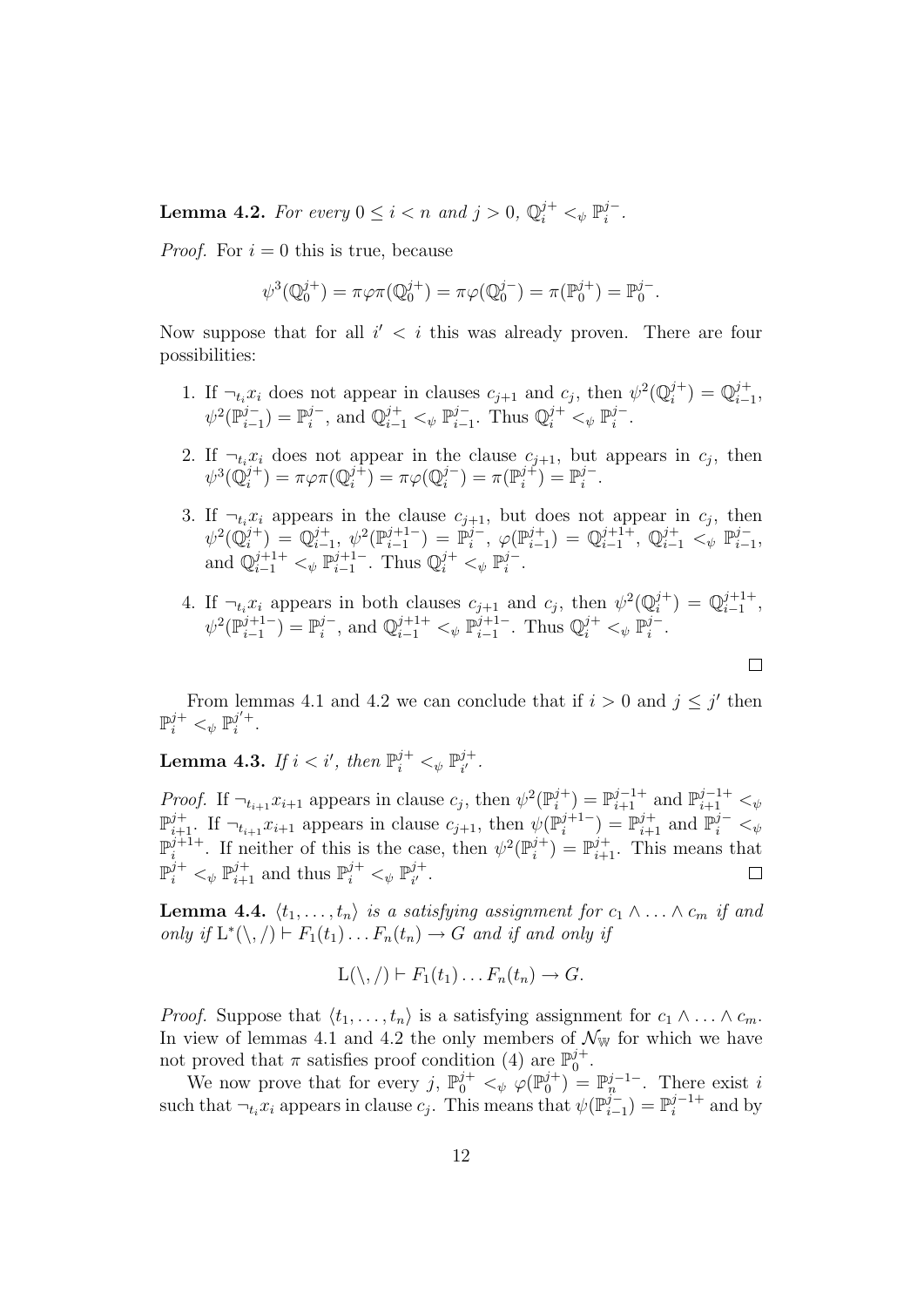**Lemma 4.2.** For every  $0 \le i < n$  and  $j > 0$ ,  $\mathbb{Q}_i^{j+} <_{\psi} \mathbb{P}_i^{j-}$ .

*Proof.* For  $i = 0$  this is true, because

$$
\psi^3(\mathbb{Q}_0^{j+}) = \pi \varphi \pi(\mathbb{Q}_0^{j+}) = \pi \varphi(\mathbb{Q}_0^{j-}) = \pi(\mathbb{P}_0^{j+}) = \mathbb{P}_0^{j-}.
$$

Now suppose that for all  $i' < i$  this was already proven. There are four possibilities:

- 1. If  $\neg_t x_i$  does not appear in clauses  $c_{j+1}$  and  $c_j$ , then  $\psi^2(\mathbb{Q}_i^{j+}) = \mathbb{Q}_{i-1}^{j+}$ ,  $\psi^2(\mathbb{P}_{i-1}^{j-}) = \mathbb{P}_i^{j-}$ , and  $\mathbb{Q}_{i-1}^{j+} <_{\psi} \mathbb{P}_{i-1}^{j-}$ . Thus  $\mathbb{Q}_i^{j+} <_{\psi} \mathbb{P}_i^{j-}$ .
- 2. If  $\neg_t x_i$  does not appear in the clause  $c_{j+1}$ , but appears in  $c_j$ , then  $\psi^3(\mathbb{Q}_i^{j+}) = \pi \varphi \pi(\mathbb{Q}_i^{j+}) = \pi \varphi(\mathbb{Q}_i^{j-}) = \pi(\mathbb{P}_i^{j+}) = \mathbb{P}_i^{j-}.$
- 3. If  $\neg_t x_i$  appears in the clause  $c_{j+1}$ , but does not appear in  $c_j$ , then  $\psi^2(\mathbb{Q}^{j+}_i) = \mathbb{Q}^{j+}_{i-1}, \; \psi^2(\mathbb{P}^{j+1-}_{i-1}) = \mathbb{P}^{j-}_i, \; \varphi(\mathbb{P}^{j+}_{i-1}) = \mathbb{Q}^{j+1+}_{i-1}, \; \mathbb{Q}^{j+}_{i-1} <_{\psi} \mathbb{P}^{j-}_{i-1},$ and  $\mathbb{Q}_{i-1}^{j+1+} <_{\psi} \mathbb{P}_{i-1}^{j+1-}$ . Thus  $\mathbb{Q}_{i}^{j+} <_{\psi} \mathbb{P}_{i}^{j-}$ .
- 4. If  $\neg_t x_i$  appears in both clauses  $c_{j+1}$  and  $c_j$ , then  $\psi^2(\mathbb{Q}_i^{j+}) = \mathbb{Q}_{i-1}^{j+1+}$ ,  $\psi^2(\mathbb{P}_{i-1}^{j+1-}) = \mathbb{P}_i^{j-}$ , and  $\mathbb{Q}_{i-1}^{j+1+} <_{\psi} \mathbb{P}_{i-1}^{j+1-}$ . Thus  $\mathbb{Q}_i^{j+} <_{\psi} \mathbb{P}_i^{j-}$ .

 $\Box$ 

From lemmas 4.1 and 4.2 we can conclude that if  $i > 0$  and  $j \leq j'$  then  $\mathbb{P}_i^{j+} <_{\psi} \mathbb{P}_i^{j'+}.$ 

Lemma 4.3. *If*  $i < i'$ , then  $\mathbb{P}^{j+}_{i} <_{\psi} \mathbb{P}^{j+}_{i'}.$ 

*Proof.* If  $\neg_{t_{i+1}} x_{i+1}$  appears in clause  $c_j$ , then  $\psi^2(\mathbb{P}_i^{j+}) = \mathbb{P}_{i+1}^{j-1+}$  and  $\mathbb{P}_{i+1}^{j-1+} <_{\psi}$  $\mathbb{P}_{i+1}^{j+}$ . If  $\neg_{t_{i+1}} x_{i+1}$  appears in clause  $c_{j+1}$ , then  $\psi(\mathbb{P}_{i}^{j+1-}) = \mathbb{P}_{i+1}^{j+}$  and  $\mathbb{P}_{i}^{j-} <_{\psi}$  $\mathbb{P}_i^{j+1+}$ . If neither of this is the case, then  $\psi^2(\mathbb{P}_i^{j+}) = \mathbb{P}_{i+1}^{j+}$ . This means that  $\mathbb{P}_{i}^{j+} \lt_{\psi} \mathbb{P}_{i+1}^{j+}$  and thus  $\mathbb{P}_{i}^{j+} \lt_{\psi} \mathbb{P}_{i'}^{j+}$ .  $\Box$ 

**Lemma 4.4.**  $\langle t_1, \ldots, t_n \rangle$  *is a satisfying assignment for*  $c_1 \wedge \ldots \wedge c_m$  *if and only if*  $L^*(\setminus, f) \vdash F_1(t_1) \ldots F_n(t_n) \rightarrow G$  *and if and only if* 

$$
L(\setminus, /) \vdash F_1(t_1) \ldots F_n(t_n) \to G.
$$

*Proof.* Suppose that  $\langle t_1, \ldots, t_n \rangle$  is a satisfying assignment for  $c_1 \wedge \ldots \wedge c_m$ . In view of lemmas 4.1 and 4.2 the only members of  $\mathcal{N}_{\mathbb{W}}$  for which we have not proved that  $\pi$  satisfies proof condition (4) are  $\mathbb{P}_0^{j+}$ .

We now prove that for every j,  $\mathbb{P}_0^{j+} <_{\psi} \varphi(\mathbb{P}_0^{j+}) = \mathbb{P}_n^{j-1-}$ . There exist i such that  $\neg_t x_i$  appears in clause  $c_j$ . This means that  $\psi(\mathbb{P}_{i-1}^{j-}) = \mathbb{P}_i^{j-1+}$  and by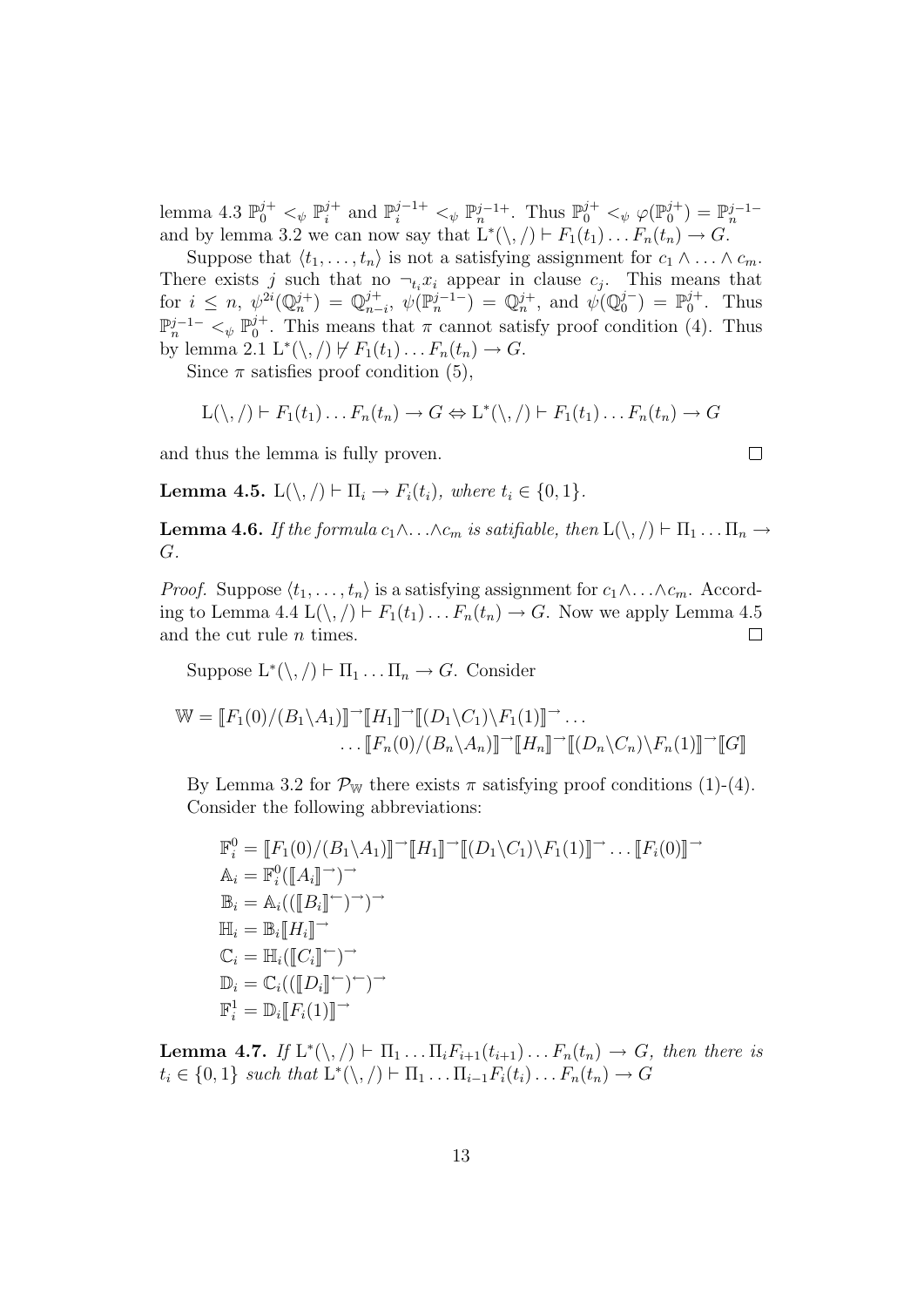lemma 4.3  $\mathbb{P}_0^{j+} <_{\psi} \mathbb{P}_i^{j+}$  and  $\mathbb{P}_i^{j-1+} <_{\psi} \mathbb{P}_n^{j-1+}$ . Thus  $\mathbb{P}_0^{j+} <_{\psi} \varphi(\mathbb{P}_0^{j+}) = \mathbb{P}_n^{j-1-}$ and by lemma 3.2 we can now say that  $\mathcal{L}^*(\setminus, /) \vdash F_1(t_1) \dots F_n(t_n) \to G$ .

Suppose that  $\langle t_1, \ldots, t_n \rangle$  is not a satisfying assignment for  $c_1 \wedge \ldots \wedge c_m$ . There exists j such that no  $\neg_t x_i$  appear in clause  $c_j$ . This means that for  $i \leq n$ ,  $\psi^{2i}(\mathbb{Q}_n^{j+}) = \mathbb{Q}_{n-i}^{j+}$ ,  $\psi(\mathbb{P}_n^{j-1}) = \mathbb{Q}_n^{j+}$ , and  $\psi(\mathbb{Q}_0^{j-}) = \mathbb{P}_0^{j+}$ . Thus  $\mathbb{P}_n^{j-1-} \lt_{\psi} \mathbb{P}_0^{j+}$ . This means that  $\pi$  cannot satisfy proof condition (4). Thus by lemma 2.1  $L^*(\setminus, / \not\vdash F_1(t_1)\dots F_n(t_n) \to G$ .

Since  $\pi$  satisfies proof condition (5),

$$
L(\setminus, /) \vdash F_1(t_1) \ldots F_n(t_n) \to G \Leftrightarrow L^*(\setminus, /) \vdash F_1(t_1) \ldots F_n(t_n) \to G
$$

 $\Box$ 

and thus the lemma is fully proven.

**Lemma 4.5.**  $L(\setminus, \cdot) \vdash \Pi_i \rightarrow F_i(t_i)$ *, where*  $t_i \in \{0, 1\}$ *.* 

**Lemma 4.6.** *If the formula*  $c_1 \wedge \ldots \wedge c_m$  *is satifiable, then*  $L(\setminus, /) \vdash \Pi_1 \ldots \Pi_n \rightarrow$ G*.*

*Proof.* Suppose  $\langle t_1, \ldots, t_n \rangle$  is a satisfying assignment for  $c_1 \wedge \ldots \wedge c_m$ . According to Lemma 4.4  $L(\setminus, / \models F_1(t_1)\dots F_n(t_n) \rightarrow G$ . Now we apply Lemma 4.5 and the cut rule *n* times. and the cut rule n times.

Suppose  $L^*(\setminus, / \rvert \cdot \Pi_1 \ldots \Pi_n \to G$ . Consider

$$
\mathbb{W} = [F_1(0)/(B_1 \setminus A_1)]^{-1} [H_1]^{-1} [(D_1 \setminus C_1) \setminus F_1(1)]^{-1} \dots
$$

$$
\dots [F_n(0)/(B_n \setminus A_n)]^{-1} [H_n]^{-1} [(D_n \setminus C_n) \setminus F_n(1)]^{-1} [G]
$$

By Lemma 3.2 for  $\mathcal{P}_{\mathbb{W}}$  there exists  $\pi$  satisfying proof conditions (1)-(4). Consider the following abbreviations:

$$
\mathbb{F}_{i}^{0} = \llbracket F_{1}(0)/(B_{1}\setminus A_{1}) \rrbracket^{\rightarrow} \llbracket (D_{1}\setminus C_{1})\setminus F_{1}(1) \rrbracket^{\rightarrow} \dots \llbracket F_{i}(0) \rrbracket^{\rightarrow}
$$
  
\n
$$
\mathbb{A}_{i} = \mathbb{F}_{i}^{0}(\llbracket A_{i} \rrbracket^{\rightarrow})^{\rightarrow}
$$
  
\n
$$
\mathbb{B}_{i} = \mathbb{A}_{i}((\llbracket B_{i} \rrbracket^{\leftarrow})^{\rightarrow})^{\rightarrow}
$$
  
\n
$$
\mathbb{H}_{i} = \mathbb{B}_{i}[\llbracket H_{i} \rrbracket^{\rightarrow}
$$
  
\n
$$
\mathbb{C}_{i} = \mathbb{H}_{i}([\llbracket C_{i} \rrbracket^{\leftarrow})^{\rightarrow})^{\rightarrow}
$$
  
\n
$$
\mathbb{D}_{i} = \mathbb{C}_{i}((\llbracket D_{i} \rrbracket^{\leftarrow})^{\leftarrow})^{\rightarrow}
$$
  
\n
$$
\mathbb{F}_{i}^{1} = \mathbb{D}_{i}[\llbracket F_{i}(1) \rrbracket^{\rightarrow}
$$

**Lemma 4.7.** *If*  $L^*(\setminus, f) \vdash \Pi_1 \ldots \Pi_i F_{i+1}(t_{i+1}) \ldots F_n(t_n) \rightarrow G$ , then there is  $t_i \in \{0,1\}$  *such that*  $L^*(\setminus, /) \vdash \Pi_1 \dots \Pi_{i-1} F_i(t_i) \dots F_n(t_n) \rightarrow G$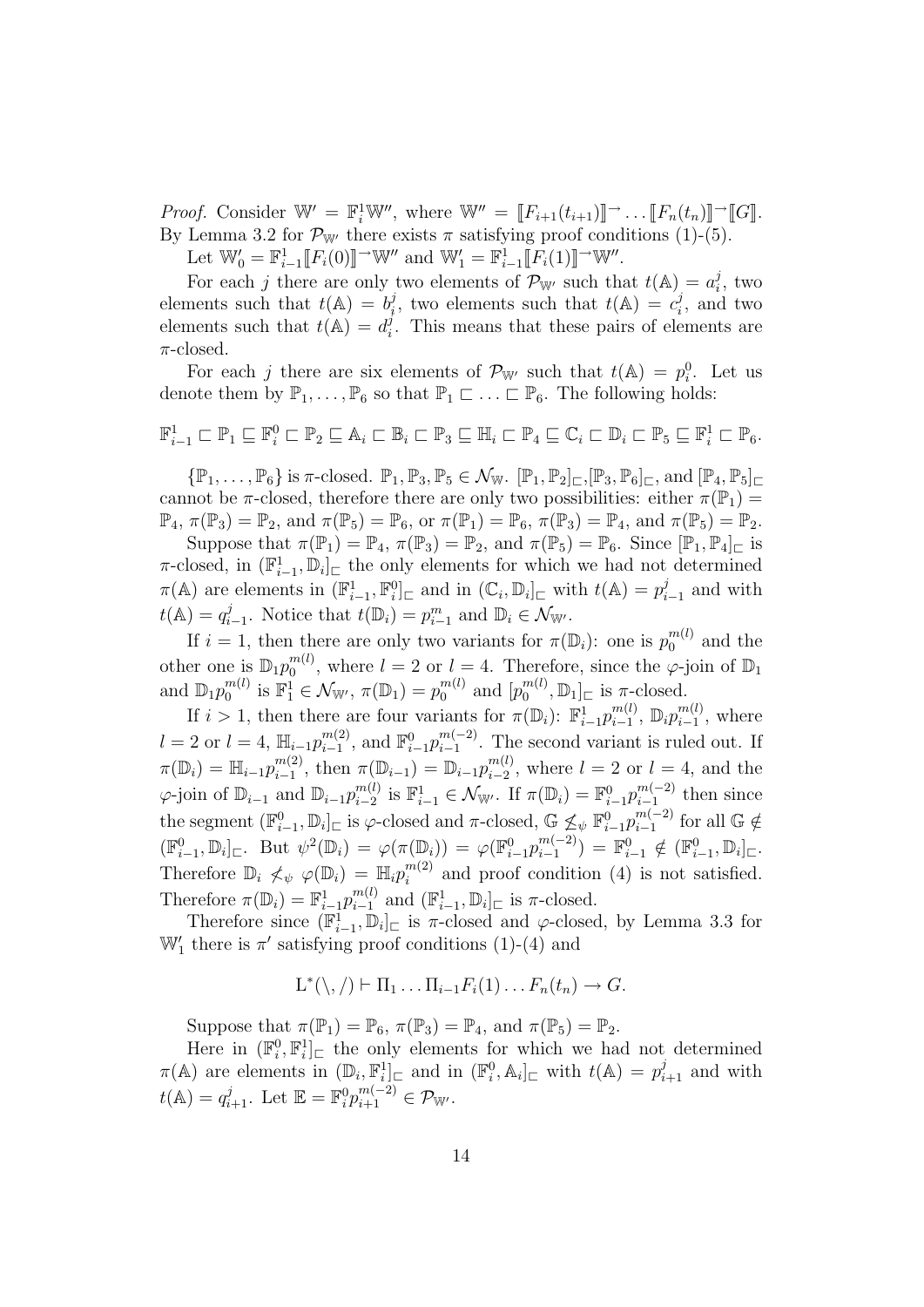*Proof.* Consider  $\mathbb{W}' = \mathbb{F}_i^1 \mathbb{W}'$ , where  $\mathbb{W}'' = [\![F_{i+1}(t_{i+1})]\!] \rightarrow \dots [\![F_n(t_n)]\!] \rightarrow [\![G]\!]$ . By Lemma 3.2 for  $\mathcal{P}_{W'}$  there exists  $\pi$  satisfying proof conditions (1)-(5).

Let  $\mathbb{W}'_0 = \mathbb{F}_{i-1}^1[[F_i(0)]] \rightarrow \mathbb{W}''$  and  $\mathbb{W}'_1 = \mathbb{F}_{i-1}^1[[F_i(1)]] \rightarrow \mathbb{W}''$ .

For each j there are only two elements of  $\mathcal{P}_{\mathbb{W}}$  such that  $t(\mathbb{A}) = a_i^j$ , two elements such that  $t(\mathbb{A}) = b_i^j$ , two elements such that  $t(\mathbb{A}) = c_i^j$ , and two elements such that  $t(A) = d_i^j$ . This means that these pairs of elements are  $\pi$ -closed.

For each j there are six elements of  $\mathcal{P}_{W'}$  such that  $t(\mathbb{A}) = p_i^0$ . Let us denote them by  $\mathbb{P}_1, \ldots, \mathbb{P}_6$  so that  $\mathbb{P}_1 \subset \ldots \subset \mathbb{P}_6$ . The following holds:

$$
\mathbb{F}_{i-1}^1 \sqsubset \mathbb{P}_1 \sqsubseteq \mathbb{F}_i^0 \sqsubset \mathbb{P}_2 \sqsubseteq \mathbb{A}_i \sqsubset \mathbb{B}_i \sqsubset \mathbb{P}_3 \sqsubseteq \mathbb{H}_i \sqsubset \mathbb{P}_4 \sqsubseteq \mathbb{C}_i \sqsubset \mathbb{D}_i \sqsubset \mathbb{P}_5 \sqsubseteq \mathbb{F}_i^1 \sqsubset \mathbb{P}_6.
$$

 $\{\mathbb{P}_1,\ldots,\mathbb{P}_6\}$  is  $\pi$ -closed.  $\mathbb{P}_1,\mathbb{P}_3,\mathbb{P}_5\in\mathcal{N}_{\mathbb{W}}$ .  $[\mathbb{P}_1,\mathbb{P}_2]_{\sqsubset},[\mathbb{P}_3,\mathbb{P}_6]_{\sqsubset}$ , and  $[\mathbb{P}_4,\mathbb{P}_5]_{\sqsubset}$ cannot be  $\pi$ -closed, therefore there are only two possibilities: either  $\pi(\mathbb{P}_1)$  =  $\mathbb{P}_4$ ,  $\pi(\mathbb{P}_3) = \mathbb{P}_2$ , and  $\pi(\mathbb{P}_5) = \mathbb{P}_6$ , or  $\pi(\mathbb{P}_1) = \mathbb{P}_6$ ,  $\pi(\mathbb{P}_3) = \mathbb{P}_4$ , and  $\pi(\mathbb{P}_5) = \mathbb{P}_2$ .

Suppose that  $\pi(\mathbb{P}_1) = \mathbb{P}_4$ ,  $\pi(\mathbb{P}_3) = \mathbb{P}_2$ , and  $\pi(\mathbb{P}_5) = \mathbb{P}_6$ . Since  $[\mathbb{P}_1, \mathbb{P}_4]_{\square}$  is  $\pi$ -closed, in  $(\mathbb{F}_{i-1}^1, \mathbb{D}_i)$  the only elements for which we had not determined  $\pi(\mathbb{A})$  are elements in  $(\mathbb{F}_{i-1}^1, \mathbb{F}_{i}^0)_{\square}$  and in  $(\mathbb{C}_i, \mathbb{D}_i)_{\square}$  with  $t(\mathbb{A}) = p_{i-1}^j$  and with  $t(\mathbb{A}) = q_{i-1}^j$ . Notice that  $t(\mathbb{D}_i) = p_{i-1}^m$  and  $\mathbb{D}_i \in \mathcal{N}_{\mathbb{W}'}$ .

If  $i = 1$ , then there are only two variants for  $\pi(\mathbb{D}_i)$ : one is  $p_0^{m(l)}$  and the other one is  $\mathbb{D}_1 p_0^{m(l)}$ , where  $l = 2$  or  $l = 4$ . Therefore, since the  $\varphi$ -join of  $\mathbb{D}_1$ and  $\mathbb{D}_1 p_0^{m(l)}$  is  $\mathbb{F}_1^1 \in \mathcal{N}_{\mathbb{W}'}, \pi(\mathbb{D}_1) = p_0^{m(l)}$  and  $[p_0^{m(l)}, \mathbb{D}_1]_{\sqsubset}$  is  $\pi$ -closed.

If  $i > 1$ , then there are four variants for  $\pi(\mathbb{D}_i)$ :  $\mathbb{F}_{i-1}^1 p_{i-1}^{m(l)}$ ,  $\mathbb{D}_i p_{i-1}^{m(l)}$ , where  $l = 2$  or  $l = 4$ ,  $\mathbb{H}_{i-1} p_{i-1}^{m(2)}$ , and  $\mathbb{F}_{i-1}^0 p_{i-1}^{m(-2)}$ . The second variant is ruled out. If  $\pi(\mathbb{D}_i) = \mathbb{H}_{i-1} p_{i-1}^{m(2)}$ , then  $\pi(\mathbb{D}_{i-1}) = \mathbb{D}_{i-1} p_{i-2}^{m(l)}$ , where  $l = 2$  or  $l = 4$ , and the  $\varphi$ -join of  $\mathbb{D}_{i-1}$  and  $\mathbb{D}_{i-1}p_{i-2}^{m(l)}$  is  $\mathbb{F}_{i-1}^1 \in \mathcal{N}_{\mathbb{W}'}$ . If  $\pi(\mathbb{D}_i) = \mathbb{F}_{i-1}^0 p_{i-1}^{m(-2)}$  then since the segment  $(\mathbb{F}_{i-1}^0, \mathbb{D}_i]_{\sqsubset}$  is  $\varphi$ -closed and  $\pi$ -closed,  $\mathbb{G} \nleq_{\psi} \mathbb{F}_{i-1}^0 p_{i-1}^{m(-2)}$  for all  $\mathbb{G} \notin$  $(\mathbb{F}_{i-1}^0, \mathbb{D}_i]_{\sqsubset}$ . But  $\psi^2(\mathbb{D}_i) = \varphi(\pi(\mathbb{D}_i)) = \varphi(\mathbb{F}_{i-1}^0 p_{i-1}^{m(-2)}) = \mathbb{F}_{i-1}^0 \notin (\mathbb{F}_{i-1}^0, \mathbb{D}_i]_{\sqsubset}$ . Therefore  $\mathbb{D}_i \not\leq \psi(\mathbb{D}_i) = \mathbb{H}_i p_i^{m(2)}$  and proof condition (4) is not satisfied. Therefore  $\pi(\mathbb{D}_i) = \mathbb{F}_{i-1}^1 p_{i-1}^{m(l)}$  and  $(\mathbb{F}_{i-1}^1, \mathbb{D}_i]_{\sqsubset}$  is  $\pi$ -closed.

Therefore since  $(\mathbb{F}_{i-1}^1, \mathbb{D}_i]_{\sqsubset}$  is  $\pi$ -closed and  $\varphi$ -closed, by Lemma 3.3 for  $\mathbb{W}'_1$  there is  $\pi'$  satisfying proof conditions (1)-(4) and

$$
L^*(\setminus, / \rvert \vdash \Pi_1 \ldots \Pi_{i-1} F_i(1) \ldots F_n(t_n) \rightarrow G.
$$

Suppose that  $\pi(\mathbb{P}_1) = \mathbb{P}_6$ ,  $\pi(\mathbb{P}_3) = \mathbb{P}_4$ , and  $\pi(\mathbb{P}_5) = \mathbb{P}_2$ .

Here in  $(\mathbb{F}_i^0, \mathbb{F}_i^1]_{\square}$  the only elements for which we had not determined  $\pi(\mathbb{A})$  are elements in  $(\mathbb{D}_i, \mathbb{F}_i^1]_{\sqsubset}$  and in  $(\mathbb{F}_i^0, \mathbb{A}_i)_{\sqsubset}$  with  $t(\mathbb{A}) = p_{i+1}^j$  and with  $t(\mathbb{A}) = q_{i+1}^j$ . Let  $\mathbb{E} = \mathbb{F}_i^0 p_{i+1}^{m(-2)} \in \mathcal{P}_{\mathbb{W}'}$ .